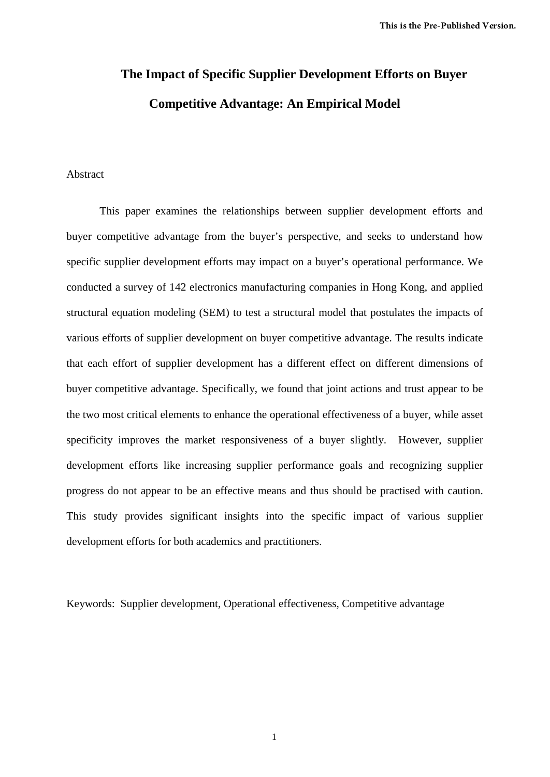# **The Impact of Specific Supplier Development Efforts on Buyer Competitive Advantage: An Empirical Model**

# Abstract

This paper examines the relationships between supplier development efforts and buyer competitive advantage from the buyer's perspective, and seeks to understand how specific supplier development efforts may impact on a buyer's operational performance. We conducted a survey of 142 electronics manufacturing companies in Hong Kong, and applied structural equation modeling (SEM) to test a structural model that postulates the impacts of various efforts of supplier development on buyer competitive advantage. The results indicate that each effort of supplier development has a different effect on different dimensions of buyer competitive advantage. Specifically, we found that joint actions and trust appear to be the two most critical elements to enhance the operational effectiveness of a buyer, while asset specificity improves the market responsiveness of a buyer slightly. However, supplier development efforts like increasing supplier performance goals and recognizing supplier progress do not appear to be an effective means and thus should be practised with caution. This study provides significant insights into the specific impact of various supplier development efforts for both academics and practitioners.

Keywords: Supplier development, Operational effectiveness, Competitive advantage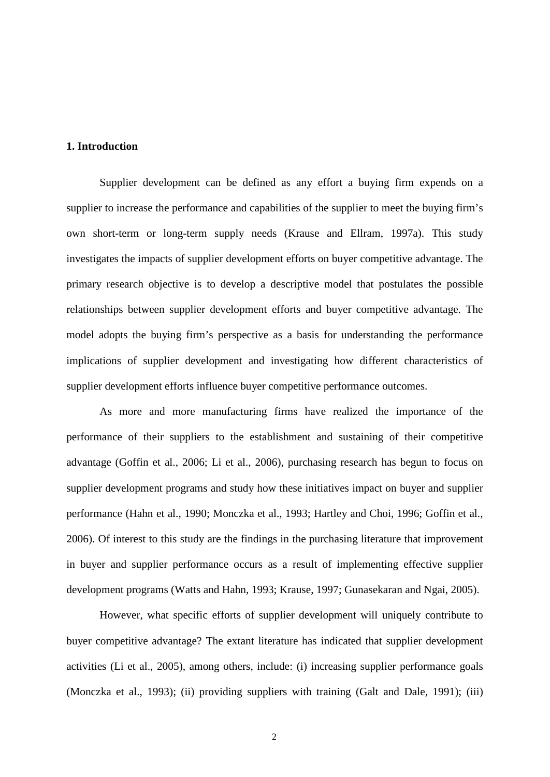# **1. Introduction**

Supplier development can be defined as any effort a buying firm expends on a supplier to increase the performance and capabilities of the supplier to meet the buying firm's own short-term or long-term supply needs (Krause and Ellram, 1997a). This study investigates the impacts of supplier development efforts on buyer competitive advantage. The primary research objective is to develop a descriptive model that postulates the possible relationships between supplier development efforts and buyer competitive advantage. The model adopts the buying firm's perspective as a basis for understanding the performance implications of supplier development and investigating how different characteristics of supplier development efforts influence buyer competitive performance outcomes.

As more and more manufacturing firms have realized the importance of the performance of their suppliers to the establishment and sustaining of their competitive advantage (Goffin et al., 2006; Li et al., 2006), purchasing research has begun to focus on supplier development programs and study how these initiatives impact on buyer and supplier performance (Hahn et al., 1990; Monczka et al., 1993; Hartley and Choi, 1996; Goffin et al., 2006). Of interest to this study are the findings in the purchasing literature that improvement in buyer and supplier performance occurs as a result of implementing effective supplier development programs (Watts and Hahn, 1993; Krause, 1997; Gunasekaran and Ngai, 2005).

However, what specific efforts of supplier development will uniquely contribute to buyer competitive advantage? The extant literature has indicated that supplier development activities (Li et al., 2005), among others, include: (i) increasing supplier performance goals (Monczka et al., 1993); (ii) providing suppliers with training (Galt and Dale, 1991); (iii)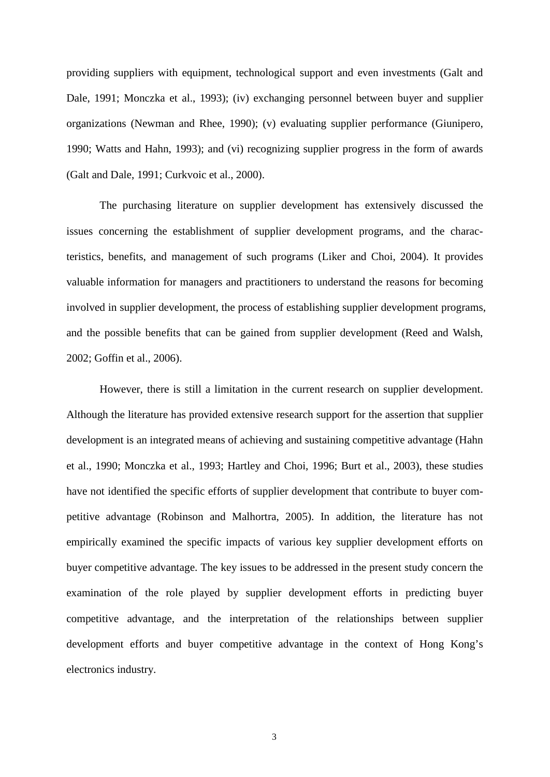providing suppliers with equipment, technological support and even investments (Galt and Dale, 1991; Monczka et al., 1993); (iv) exchanging personnel between buyer and supplier organizations (Newman and Rhee, 1990); (v) evaluating supplier performance (Giunipero, 1990; Watts and Hahn, 1993); and (vi) recognizing supplier progress in the form of awards (Galt and Dale, 1991; Curkvoic et al., 2000).

The purchasing literature on supplier development has extensively discussed the issues concerning the establishment of supplier development programs, and the characteristics, benefits, and management of such programs (Liker and Choi, 2004). It provides valuable information for managers and practitioners to understand the reasons for becoming involved in supplier development, the process of establishing supplier development programs, and the possible benefits that can be gained from supplier development (Reed and Walsh, 2002; Goffin et al., 2006).

However, there is still a limitation in the current research on supplier development. Although the literature has provided extensive research support for the assertion that supplier development is an integrated means of achieving and sustaining competitive advantage (Hahn et al., 1990; Monczka et al., 1993; Hartley and Choi, 1996; Burt et al., 2003), these studies have not identified the specific efforts of supplier development that contribute to buyer competitive advantage (Robinson and Malhortra, 2005). In addition, the literature has not empirically examined the specific impacts of various key supplier development efforts on buyer competitive advantage. The key issues to be addressed in the present study concern the examination of the role played by supplier development efforts in predicting buyer competitive advantage, and the interpretation of the relationships between supplier development efforts and buyer competitive advantage in the context of Hong Kong's electronics industry.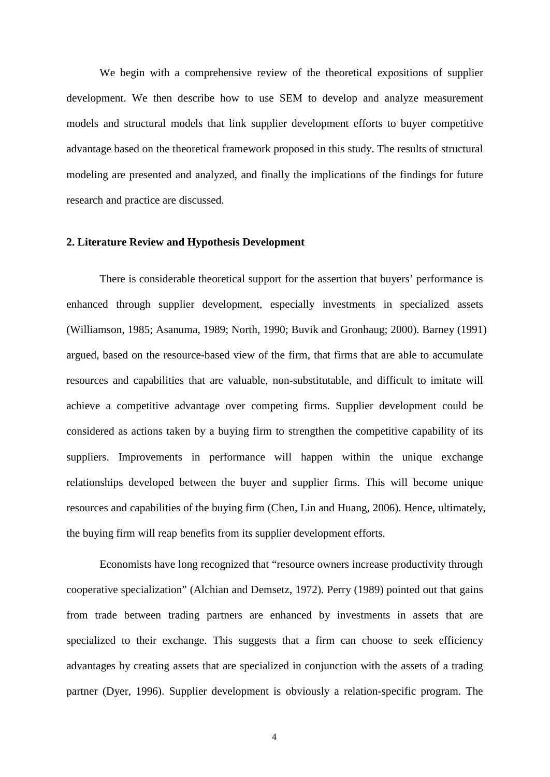We begin with a comprehensive review of the theoretical expositions of supplier development. We then describe how to use SEM to develop and analyze measurement models and structural models that link supplier development efforts to buyer competitive advantage based on the theoretical framework proposed in this study. The results of structural modeling are presented and analyzed, and finally the implications of the findings for future research and practice are discussed.

## **2. Literature Review and Hypothesis Development**

There is considerable theoretical support for the assertion that buyers' performance is enhanced through supplier development, especially investments in specialized assets (Williamson, 1985; Asanuma, 1989; North, 1990; Buvik and Gronhaug; 2000). Barney (1991) argued, based on the resource-based view of the firm, that firms that are able to accumulate resources and capabilities that are valuable, non-substitutable, and difficult to imitate will achieve a competitive advantage over competing firms. Supplier development could be considered as actions taken by a buying firm to strengthen the competitive capability of its suppliers. Improvements in performance will happen within the unique exchange relationships developed between the buyer and supplier firms. This will become unique resources and capabilities of the buying firm (Chen, Lin and Huang, 2006). Hence, ultimately, the buying firm will reap benefits from its supplier development efforts.

Economists have long recognized that "resource owners increase productivity through cooperative specialization" (Alchian and Demsetz, 1972). Perry (1989) pointed out that gains from trade between trading partners are enhanced by investments in assets that are specialized to their exchange. This suggests that a firm can choose to seek efficiency advantages by creating assets that are specialized in conjunction with the assets of a trading partner (Dyer, 1996). Supplier development is obviously a relation-specific program. The

4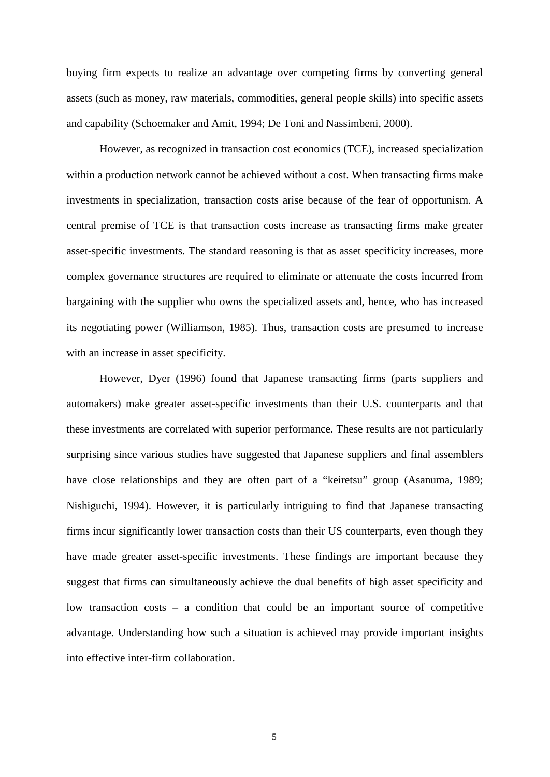buying firm expects to realize an advantage over competing firms by converting general assets (such as money, raw materials, commodities, general people skills) into specific assets and capability (Schoemaker and Amit, 1994; De Toni and Nassimbeni, 2000).

However, as recognized in transaction cost economics (TCE), increased specialization within a production network cannot be achieved without a cost. When transacting firms make investments in specialization, transaction costs arise because of the fear of opportunism. A central premise of TCE is that transaction costs increase as transacting firms make greater asset-specific investments. The standard reasoning is that as asset specificity increases, more complex governance structures are required to eliminate or attenuate the costs incurred from bargaining with the supplier who owns the specialized assets and, hence, who has increased its negotiating power (Williamson, 1985). Thus, transaction costs are presumed to increase with an increase in asset specificity.

However, Dyer (1996) found that Japanese transacting firms (parts suppliers and automakers) make greater asset-specific investments than their U.S. counterparts and that these investments are correlated with superior performance. These results are not particularly surprising since various studies have suggested that Japanese suppliers and final assemblers have close relationships and they are often part of a "keiretsu" group (Asanuma, 1989; Nishiguchi, 1994). However, it is particularly intriguing to find that Japanese transacting firms incur significantly lower transaction costs than their US counterparts, even though they have made greater asset-specific investments. These findings are important because they suggest that firms can simultaneously achieve the dual benefits of high asset specificity and low transaction costs – a condition that could be an important source of competitive advantage. Understanding how such a situation is achieved may provide important insights into effective inter-firm collaboration.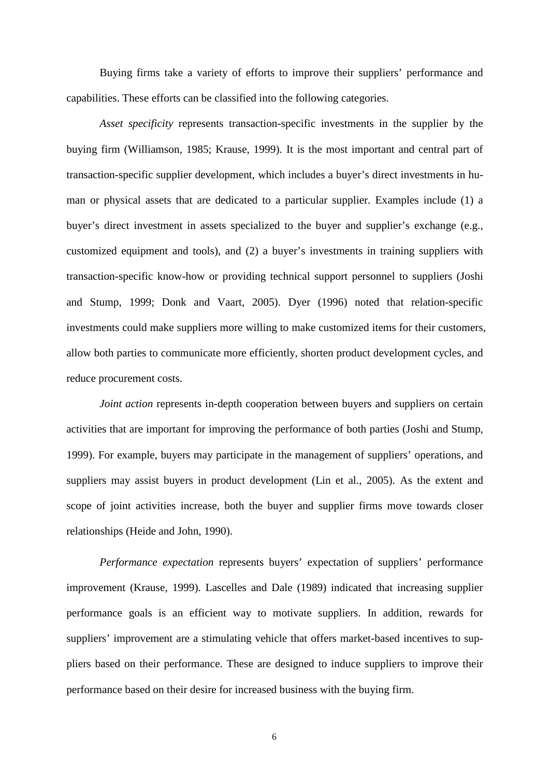Buying firms take a variety of efforts to improve their suppliers' performance and capabilities. These efforts can be classified into the following categories.

*Asset specificity* represents transaction-specific investments in the supplier by the buying firm (Williamson, 1985; Krause, 1999). It is the most important and central part of transaction-specific supplier development, which includes a buyer's direct investments in human or physical assets that are dedicated to a particular supplier. Examples include (1) a buyer's direct investment in assets specialized to the buyer and supplier's exchange (e.g., customized equipment and tools), and (2) a buyer's investments in training suppliers with transaction-specific know-how or providing technical support personnel to suppliers (Joshi and Stump, 1999; Donk and Vaart, 2005). Dyer (1996) noted that relation-specific investments could make suppliers more willing to make customized items for their customers, allow both parties to communicate more efficiently, shorten product development cycles, and reduce procurement costs.

*Joint action* represents in-depth cooperation between buyers and suppliers on certain activities that are important for improving the performance of both parties (Joshi and Stump, 1999). For example, buyers may participate in the management of suppliers' operations, and suppliers may assist buyers in product development (Lin et al., 2005). As the extent and scope of joint activities increase, both the buyer and supplier firms move towards closer relationships (Heide and John, 1990).

*Performance expectation* represents buyers' expectation of suppliers' performance improvement (Krause, 1999). Lascelles and Dale (1989) indicated that increasing supplier performance goals is an efficient way to motivate suppliers. In addition, rewards for suppliers' improvement are a stimulating vehicle that offers market-based incentives to suppliers based on their performance. These are designed to induce suppliers to improve their performance based on their desire for increased business with the buying firm.

6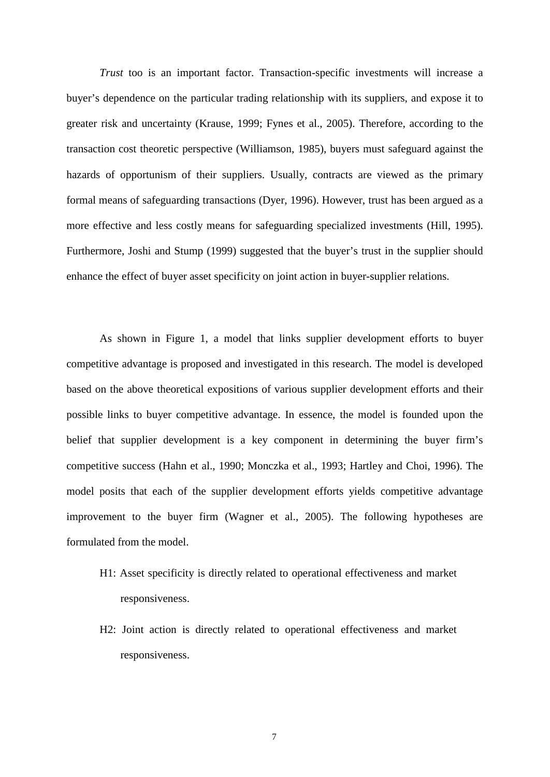*Trust* too is an important factor. Transaction-specific investments will increase a buyer's dependence on the particular trading relationship with its suppliers, and expose it to greater risk and uncertainty (Krause, 1999; Fynes et al., 2005). Therefore, according to the transaction cost theoretic perspective (Williamson, 1985), buyers must safeguard against the hazards of opportunism of their suppliers. Usually, contracts are viewed as the primary formal means of safeguarding transactions (Dyer, 1996). However, trust has been argued as a more effective and less costly means for safeguarding specialized investments (Hill, 1995). Furthermore, Joshi and Stump (1999) suggested that the buyer's trust in the supplier should enhance the effect of buyer asset specificity on joint action in buyer-supplier relations.

As shown in Figure 1, a model that links supplier development efforts to buyer competitive advantage is proposed and investigated in this research. The model is developed based on the above theoretical expositions of various supplier development efforts and their possible links to buyer competitive advantage. In essence, the model is founded upon the belief that supplier development is a key component in determining the buyer firm's competitive success (Hahn et al., 1990; Monczka et al., 1993; Hartley and Choi, 1996). The model posits that each of the supplier development efforts yields competitive advantage improvement to the buyer firm (Wagner et al., 2005). The following hypotheses are formulated from the model.

- H1: Asset specificity is directly related to operational effectiveness and market responsiveness.
- H2: Joint action is directly related to operational effectiveness and market responsiveness.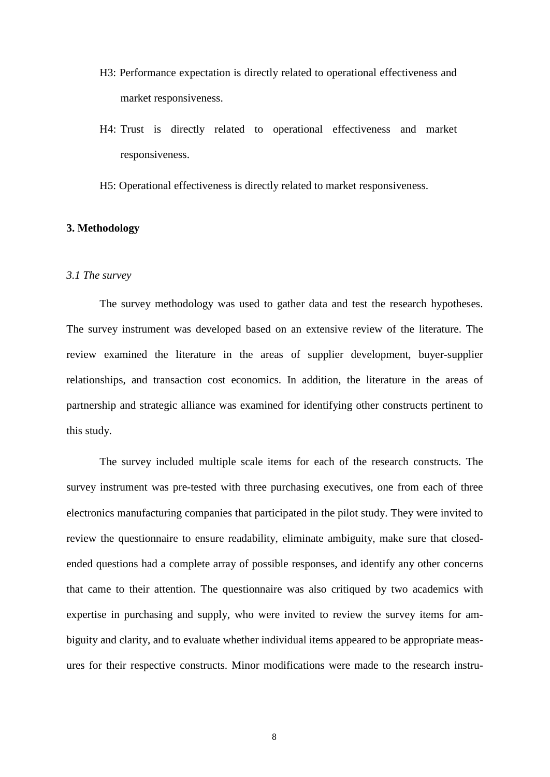- H3: Performance expectation is directly related to operational effectiveness and market responsiveness.
- H4: Trust is directly related to operational effectiveness and market responsiveness.
- H5: Operational effectiveness is directly related to market responsiveness.

# **3. Methodology**

# *3.1 The survey*

The survey methodology was used to gather data and test the research hypotheses. The survey instrument was developed based on an extensive review of the literature. The review examined the literature in the areas of supplier development, buyer-supplier relationships, and transaction cost economics. In addition, the literature in the areas of partnership and strategic alliance was examined for identifying other constructs pertinent to this study.

The survey included multiple scale items for each of the research constructs. The survey instrument was pre-tested with three purchasing executives, one from each of three electronics manufacturing companies that participated in the pilot study. They were invited to review the questionnaire to ensure readability, eliminate ambiguity, make sure that closedended questions had a complete array of possible responses, and identify any other concerns that came to their attention. The questionnaire was also critiqued by two academics with expertise in purchasing and supply, who were invited to review the survey items for ambiguity and clarity, and to evaluate whether individual items appeared to be appropriate measures for their respective constructs. Minor modifications were made to the research instru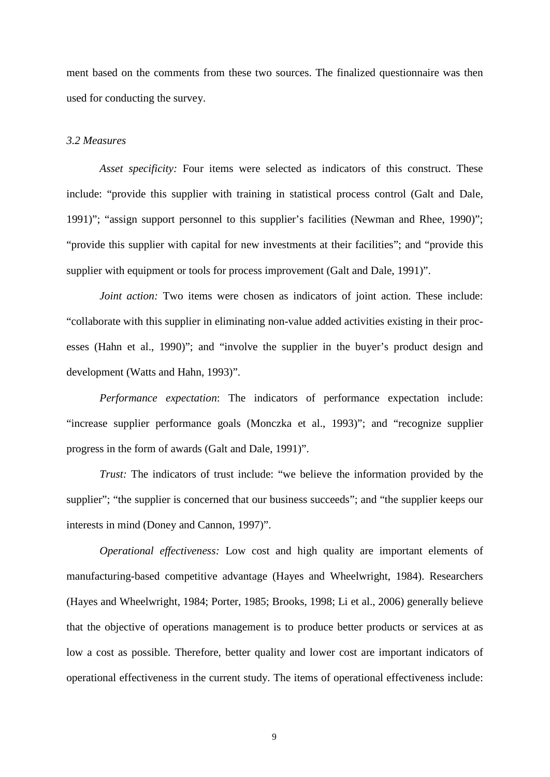ment based on the comments from these two sources. The finalized questionnaire was then used for conducting the survey.

## *3.2 Measures*

*Asset specificity:* Four items were selected as indicators of this construct. These include: "provide this supplier with training in statistical process control (Galt and Dale, 1991)"; "assign support personnel to this supplier's facilities (Newman and Rhee, 1990)"; "provide this supplier with capital for new investments at their facilities"; and "provide this supplier with equipment or tools for process improvement (Galt and Dale, 1991)".

*Joint action:* Two items were chosen as indicators of joint action. These include: "collaborate with this supplier in eliminating non-value added activities existing in their processes (Hahn et al., 1990)"; and "involve the supplier in the buyer's product design and development (Watts and Hahn, 1993)".

*Performance expectation*: The indicators of performance expectation include: "increase supplier performance goals (Monczka et al., 1993)"; and "recognize supplier progress in the form of awards (Galt and Dale, 1991)".

*Trust:* The indicators of trust include: "we believe the information provided by the supplier"; "the supplier is concerned that our business succeeds"; and "the supplier keeps our interests in mind (Doney and Cannon, 1997)".

*Operational effectiveness:* Low cost and high quality are important elements of manufacturing-based competitive advantage (Hayes and Wheelwright, 1984). Researchers (Hayes and Wheelwright, 1984; Porter, 1985; Brooks, 1998; Li et al., 2006) generally believe that the objective of operations management is to produce better products or services at as low a cost as possible. Therefore, better quality and lower cost are important indicators of operational effectiveness in the current study. The items of operational effectiveness include:

9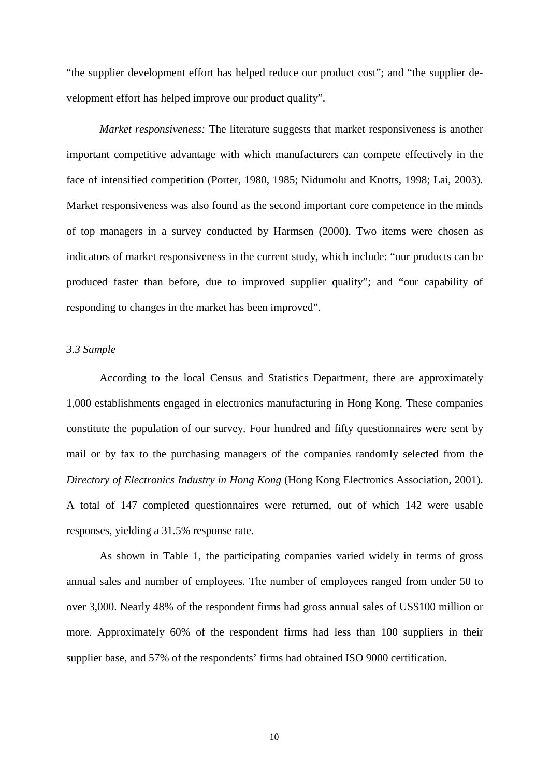"the supplier development effort has helped reduce our product cost"; and "the supplier development effort has helped improve our product quality".

*Market responsiveness:* The literature suggests that market responsiveness is another important competitive advantage with which manufacturers can compete effectively in the face of intensified competition (Porter, 1980, 1985; Nidumolu and Knotts, 1998; Lai, 2003). Market responsiveness was also found as the second important core competence in the minds of top managers in a survey conducted by Harmsen (2000). Two items were chosen as indicators of market responsiveness in the current study, which include: "our products can be produced faster than before, due to improved supplier quality"; and "our capability of responding to changes in the market has been improved".

# *3.3 Sample*

According to the local Census and Statistics Department, there are approximately 1,000 establishments engaged in electronics manufacturing in Hong Kong. These companies constitute the population of our survey. Four hundred and fifty questionnaires were sent by mail or by fax to the purchasing managers of the companies randomly selected from the *Directory of Electronics Industry in Hong Kong* (Hong Kong Electronics Association, 2001). A total of 147 completed questionnaires were returned, out of which 142 were usable responses, yielding a 31.5% response rate.

As shown in Table 1, the participating companies varied widely in terms of gross annual sales and number of employees. The number of employees ranged from under 50 to over 3,000. Nearly 48% of the respondent firms had gross annual sales of US\$100 million or more. Approximately 60% of the respondent firms had less than 100 suppliers in their supplier base, and 57% of the respondents' firms had obtained ISO 9000 certification.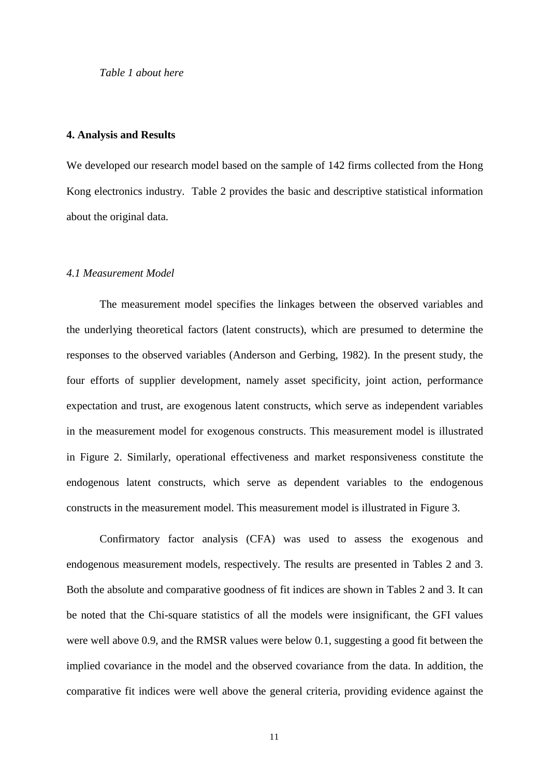*Table 1 about here*

#### **4. Analysis and Results**

We developed our research model based on the sample of 142 firms collected from the Hong Kong electronics industry. Table 2 provides the basic and descriptive statistical information about the original data.

## *4.1 Measurement Model*

The measurement model specifies the linkages between the observed variables and the underlying theoretical factors (latent constructs), which are presumed to determine the responses to the observed variables (Anderson and Gerbing, 1982). In the present study, the four efforts of supplier development, namely asset specificity, joint action, performance expectation and trust, are exogenous latent constructs, which serve as independent variables in the measurement model for exogenous constructs. This measurement model is illustrated in Figure 2. Similarly, operational effectiveness and market responsiveness constitute the endogenous latent constructs, which serve as dependent variables to the endogenous constructs in the measurement model. This measurement model is illustrated in Figure 3.

Confirmatory factor analysis (CFA) was used to assess the exogenous and endogenous measurement models, respectively. The results are presented in Tables 2 and 3. Both the absolute and comparative goodness of fit indices are shown in Tables 2 and 3. It can be noted that the Chi-square statistics of all the models were insignificant, the GFI values were well above 0.9, and the RMSR values were below 0.1, suggesting a good fit between the implied covariance in the model and the observed covariance from the data. In addition, the comparative fit indices were well above the general criteria, providing evidence against the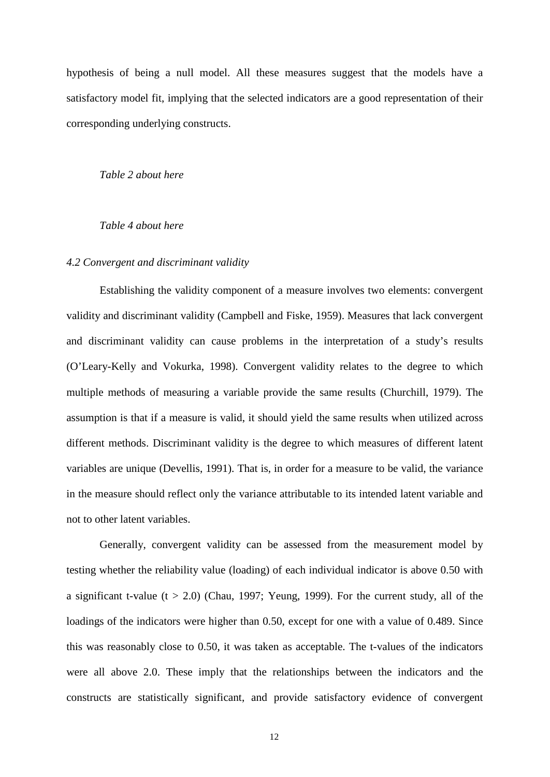hypothesis of being a null model. All these measures suggest that the models have a satisfactory model fit, implying that the selected indicators are a good representation of their corresponding underlying constructs.

*Table 2 about here*

# *Table 4 about here*

# *4.2 Convergent and discriminant validity*

Establishing the validity component of a measure involves two elements: convergent validity and discriminant validity (Campbell and Fiske, 1959). Measures that lack convergent and discriminant validity can cause problems in the interpretation of a study's results (O'Leary-Kelly and Vokurka, 1998). Convergent validity relates to the degree to which multiple methods of measuring a variable provide the same results (Churchill, 1979). The assumption is that if a measure is valid, it should yield the same results when utilized across different methods. Discriminant validity is the degree to which measures of different latent variables are unique (Devellis, 1991). That is, in order for a measure to be valid, the variance in the measure should reflect only the variance attributable to its intended latent variable and not to other latent variables.

Generally, convergent validity can be assessed from the measurement model by testing whether the reliability value (loading) of each individual indicator is above 0.50 with a significant t-value  $(t > 2.0)$  (Chau, 1997; Yeung, 1999). For the current study, all of the loadings of the indicators were higher than 0.50, except for one with a value of 0.489. Since this was reasonably close to 0.50, it was taken as acceptable. The t-values of the indicators were all above 2.0. These imply that the relationships between the indicators and the constructs are statistically significant, and provide satisfactory evidence of convergent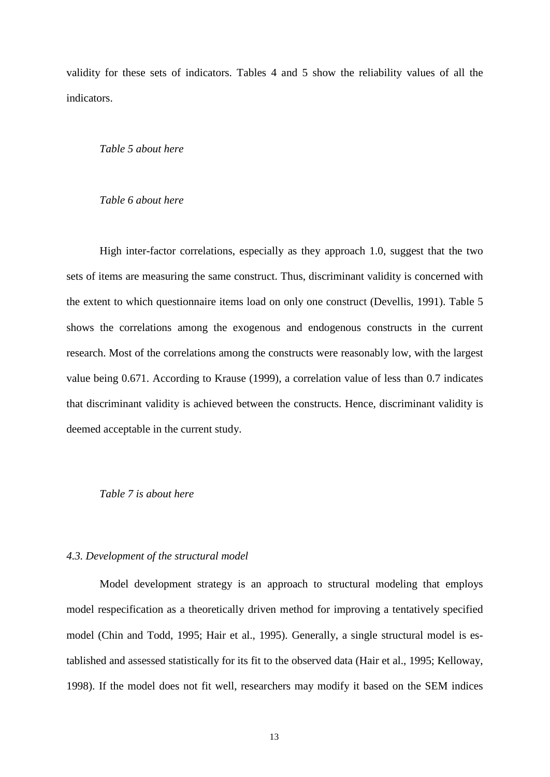validity for these sets of indicators. Tables 4 and 5 show the reliability values of all the indicators.

## *Table 5 about here*

# *Table 6 about here*

High inter-factor correlations, especially as they approach 1.0, suggest that the two sets of items are measuring the same construct. Thus, discriminant validity is concerned with the extent to which questionnaire items load on only one construct (Devellis, 1991). Table 5 shows the correlations among the exogenous and endogenous constructs in the current research. Most of the correlations among the constructs were reasonably low, with the largest value being 0.671. According to Krause (1999), a correlation value of less than 0.7 indicates that discriminant validity is achieved between the constructs. Hence, discriminant validity is deemed acceptable in the current study.

#### *Table 7 is about here*

## *4.3. Development of the structural model*

Model development strategy is an approach to structural modeling that employs model respecification as a theoretically driven method for improving a tentatively specified model (Chin and Todd, 1995; Hair et al., 1995). Generally, a single structural model is established and assessed statistically for its fit to the observed data (Hair et al., 1995; Kelloway, 1998). If the model does not fit well, researchers may modify it based on the SEM indices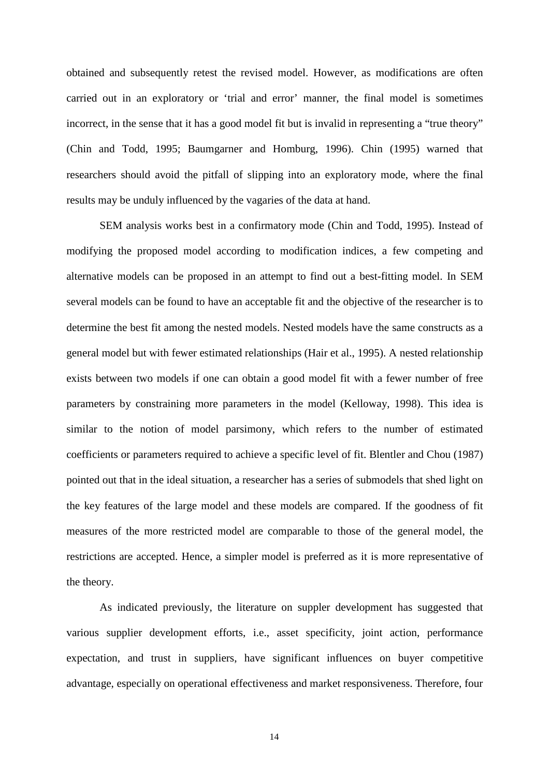obtained and subsequently retest the revised model. However, as modifications are often carried out in an exploratory or 'trial and error' manner, the final model is sometimes incorrect, in the sense that it has a good model fit but is invalid in representing a "true theory" (Chin and Todd, 1995; Baumgarner and Homburg, 1996). Chin (1995) warned that researchers should avoid the pitfall of slipping into an exploratory mode, where the final results may be unduly influenced by the vagaries of the data at hand.

SEM analysis works best in a confirmatory mode (Chin and Todd, 1995). Instead of modifying the proposed model according to modification indices, a few competing and alternative models can be proposed in an attempt to find out a best-fitting model. In SEM several models can be found to have an acceptable fit and the objective of the researcher is to determine the best fit among the nested models. Nested models have the same constructs as a general model but with fewer estimated relationships (Hair et al., 1995). A nested relationship exists between two models if one can obtain a good model fit with a fewer number of free parameters by constraining more parameters in the model (Kelloway, 1998). This idea is similar to the notion of model parsimony, which refers to the number of estimated coefficients or parameters required to achieve a specific level of fit. Blentler and Chou (1987) pointed out that in the ideal situation, a researcher has a series of submodels that shed light on the key features of the large model and these models are compared. If the goodness of fit measures of the more restricted model are comparable to those of the general model, the restrictions are accepted. Hence, a simpler model is preferred as it is more representative of the theory.

As indicated previously, the literature on suppler development has suggested that various supplier development efforts, i.e., asset specificity, joint action, performance expectation, and trust in suppliers, have significant influences on buyer competitive advantage, especially on operational effectiveness and market responsiveness. Therefore, four

14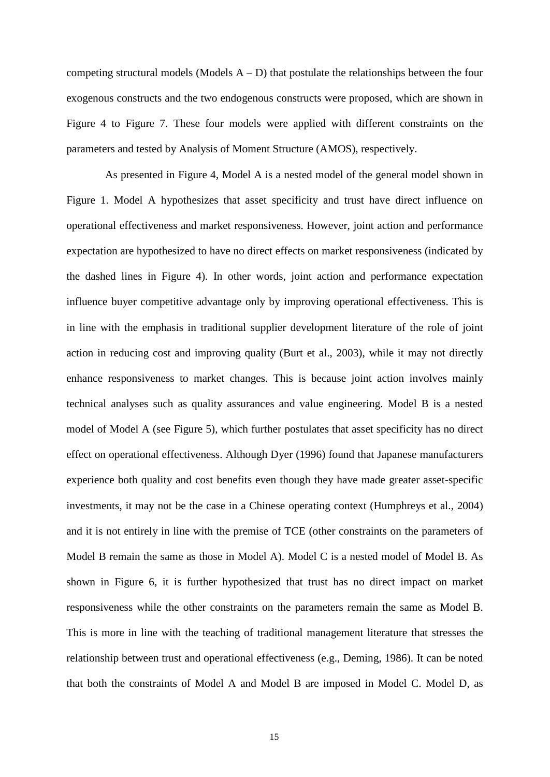competing structural models (Models  $A - D$ ) that postulate the relationships between the four exogenous constructs and the two endogenous constructs were proposed, which are shown in Figure 4 to Figure 7. These four models were applied with different constraints on the parameters and tested by Analysis of Moment Structure (AMOS), respectively.

As presented in Figure 4, Model A is a nested model of the general model shown in Figure 1. Model A hypothesizes that asset specificity and trust have direct influence on operational effectiveness and market responsiveness. However, joint action and performance expectation are hypothesized to have no direct effects on market responsiveness (indicated by the dashed lines in Figure 4). In other words, joint action and performance expectation influence buyer competitive advantage only by improving operational effectiveness. This is in line with the emphasis in traditional supplier development literature of the role of joint action in reducing cost and improving quality (Burt et al., 2003), while it may not directly enhance responsiveness to market changes. This is because joint action involves mainly technical analyses such as quality assurances and value engineering. Model B is a nested model of Model A (see Figure 5), which further postulates that asset specificity has no direct effect on operational effectiveness. Although Dyer (1996) found that Japanese manufacturers experience both quality and cost benefits even though they have made greater asset-specific investments, it may not be the case in a Chinese operating context (Humphreys et al., 2004) and it is not entirely in line with the premise of TCE (other constraints on the parameters of Model B remain the same as those in Model A). Model C is a nested model of Model B. As shown in Figure 6, it is further hypothesized that trust has no direct impact on market responsiveness while the other constraints on the parameters remain the same as Model B. This is more in line with the teaching of traditional management literature that stresses the relationship between trust and operational effectiveness (e.g., Deming, 1986). It can be noted that both the constraints of Model A and Model B are imposed in Model C. Model D, as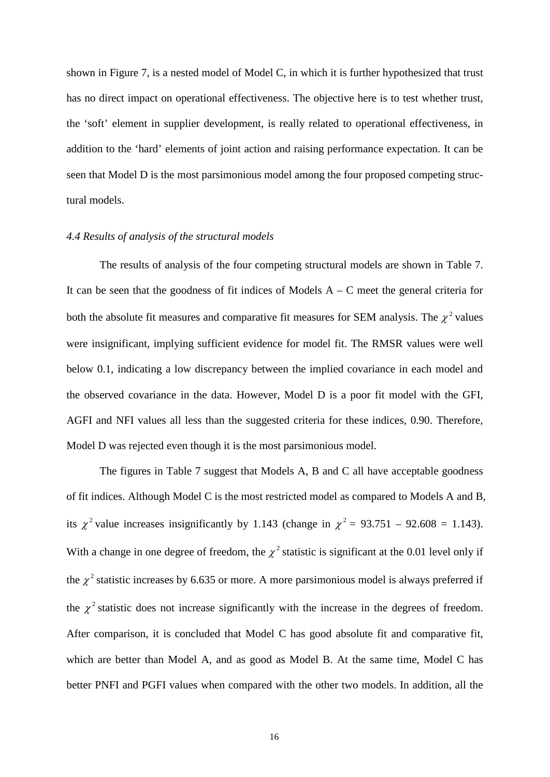shown in Figure 7, is a nested model of Model C, in which it is further hypothesized that trust has no direct impact on operational effectiveness. The objective here is to test whether trust, the 'soft' element in supplier development, is really related to operational effectiveness, in addition to the 'hard' elements of joint action and raising performance expectation. It can be seen that Model D is the most parsimonious model among the four proposed competing structural models.

# *4.4 Results of analysis of the structural models*

The results of analysis of the four competing structural models are shown in Table 7. It can be seen that the goodness of fit indices of Models  $A - C$  meet the general criteria for both the absolute fit measures and comparative fit measures for SEM analysis. The  $\chi^2$  values were insignificant, implying sufficient evidence for model fit. The RMSR values were well below 0.1, indicating a low discrepancy between the implied covariance in each model and the observed covariance in the data. However, Model D is a poor fit model with the GFI, AGFI and NFI values all less than the suggested criteria for these indices, 0.90. Therefore, Model D was rejected even though it is the most parsimonious model.

The figures in Table 7 suggest that Models A, B and C all have acceptable goodness of fit indices. Although Model C is the most restricted model as compared to Models A and B, its  $\chi^2$  value increases insignificantly by 1.143 (change in  $\chi^2$  = 93.751 – 92.608 = 1.143). With a change in one degree of freedom, the  $\chi^2$  statistic is significant at the 0.01 level only if the  $\chi^2$  statistic increases by 6.635 or more. A more parsimonious model is always preferred if the  $\chi^2$  statistic does not increase significantly with the increase in the degrees of freedom. After comparison, it is concluded that Model C has good absolute fit and comparative fit, which are better than Model A, and as good as Model B. At the same time, Model C has better PNFI and PGFI values when compared with the other two models. In addition, all the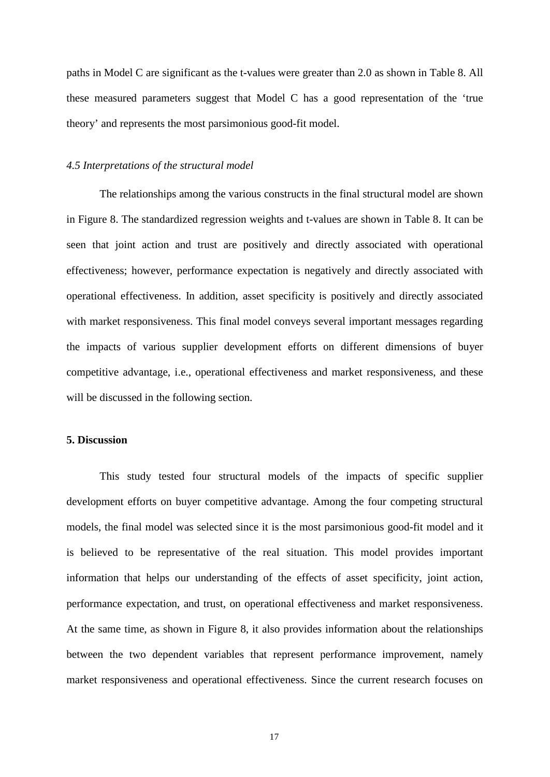paths in Model C are significant as the t-values were greater than 2.0 as shown in Table 8. All these measured parameters suggest that Model C has a good representation of the 'true theory' and represents the most parsimonious good-fit model.

## *4.5 Interpretations of the structural model*

The relationships among the various constructs in the final structural model are shown in Figure 8. The standardized regression weights and t-values are shown in Table 8. It can be seen that joint action and trust are positively and directly associated with operational effectiveness; however, performance expectation is negatively and directly associated with operational effectiveness. In addition, asset specificity is positively and directly associated with market responsiveness. This final model conveys several important messages regarding the impacts of various supplier development efforts on different dimensions of buyer competitive advantage, i.e., operational effectiveness and market responsiveness, and these will be discussed in the following section.

# **5. Discussion**

This study tested four structural models of the impacts of specific supplier development efforts on buyer competitive advantage. Among the four competing structural models, the final model was selected since it is the most parsimonious good-fit model and it is believed to be representative of the real situation. This model provides important information that helps our understanding of the effects of asset specificity, joint action, performance expectation, and trust, on operational effectiveness and market responsiveness. At the same time, as shown in Figure 8, it also provides information about the relationships between the two dependent variables that represent performance improvement, namely market responsiveness and operational effectiveness. Since the current research focuses on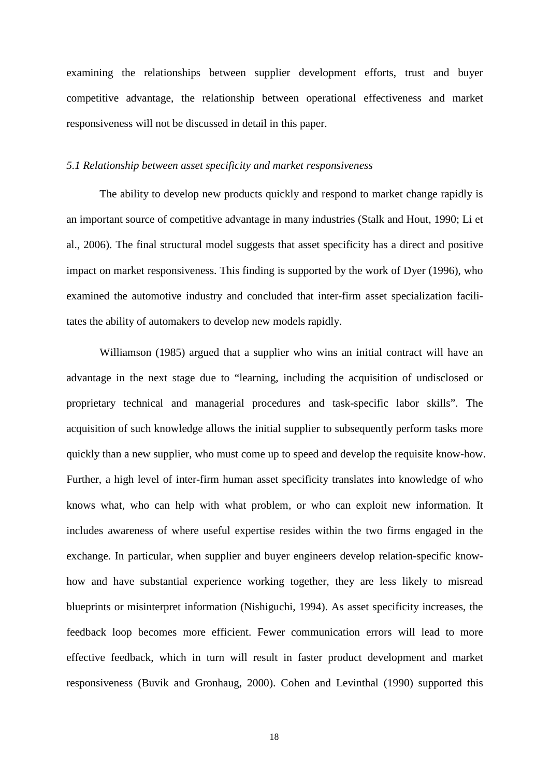examining the relationships between supplier development efforts, trust and buyer competitive advantage, the relationship between operational effectiveness and market responsiveness will not be discussed in detail in this paper.

## *5.1 Relationship between asset specificity and market responsiveness*

The ability to develop new products quickly and respond to market change rapidly is an important source of competitive advantage in many industries (Stalk and Hout, 1990; Li et al., 2006). The final structural model suggests that asset specificity has a direct and positive impact on market responsiveness. This finding is supported by the work of Dyer (1996), who examined the automotive industry and concluded that inter-firm asset specialization facilitates the ability of automakers to develop new models rapidly.

Williamson (1985) argued that a supplier who wins an initial contract will have an advantage in the next stage due to "learning, including the acquisition of undisclosed or proprietary technical and managerial procedures and task-specific labor skills". The acquisition of such knowledge allows the initial supplier to subsequently perform tasks more quickly than a new supplier, who must come up to speed and develop the requisite know-how. Further, a high level of inter-firm human asset specificity translates into knowledge of who knows what, who can help with what problem, or who can exploit new information. It includes awareness of where useful expertise resides within the two firms engaged in the exchange. In particular, when supplier and buyer engineers develop relation-specific knowhow and have substantial experience working together, they are less likely to misread blueprints or misinterpret information (Nishiguchi, 1994). As asset specificity increases, the feedback loop becomes more efficient. Fewer communication errors will lead to more effective feedback, which in turn will result in faster product development and market responsiveness (Buvik and Gronhaug, 2000). Cohen and Levinthal (1990) supported this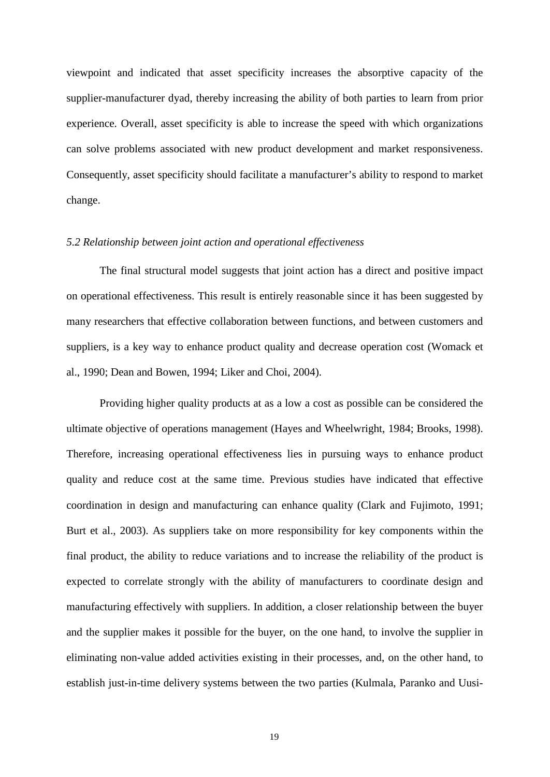viewpoint and indicated that asset specificity increases the absorptive capacity of the supplier-manufacturer dyad, thereby increasing the ability of both parties to learn from prior experience. Overall, asset specificity is able to increase the speed with which organizations can solve problems associated with new product development and market responsiveness. Consequently, asset specificity should facilitate a manufacturer's ability to respond to market change.

# *5.2 Relationship between joint action and operational effectiveness*

The final structural model suggests that joint action has a direct and positive impact on operational effectiveness. This result is entirely reasonable since it has been suggested by many researchers that effective collaboration between functions, and between customers and suppliers, is a key way to enhance product quality and decrease operation cost (Womack et al., 1990; Dean and Bowen, 1994; Liker and Choi, 2004).

Providing higher quality products at as a low a cost as possible can be considered the ultimate objective of operations management (Hayes and Wheelwright, 1984; Brooks, 1998). Therefore, increasing operational effectiveness lies in pursuing ways to enhance product quality and reduce cost at the same time. Previous studies have indicated that effective coordination in design and manufacturing can enhance quality (Clark and Fujimoto, 1991; Burt et al., 2003). As suppliers take on more responsibility for key components within the final product, the ability to reduce variations and to increase the reliability of the product is expected to correlate strongly with the ability of manufacturers to coordinate design and manufacturing effectively with suppliers. In addition, a closer relationship between the buyer and the supplier makes it possible for the buyer, on the one hand, to involve the supplier in eliminating non-value added activities existing in their processes, and, on the other hand, to establish just-in-time delivery systems between the two parties (Kulmala, Paranko and Uusi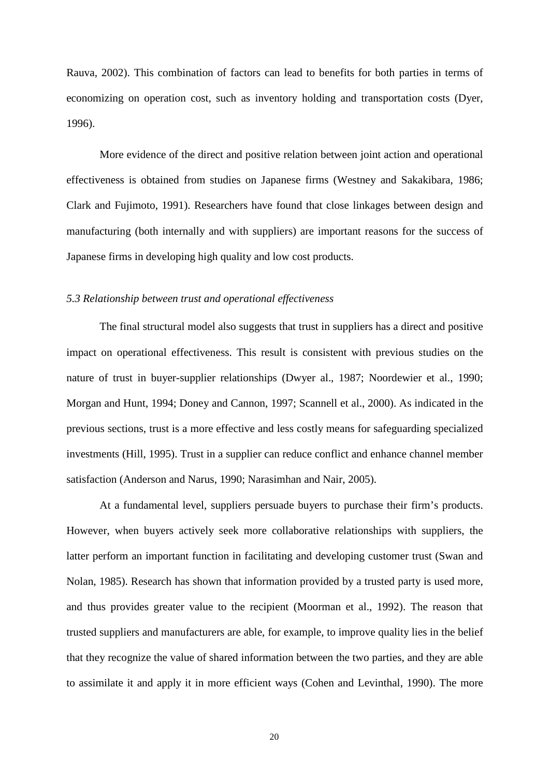Rauva, 2002). This combination of factors can lead to benefits for both parties in terms of economizing on operation cost, such as inventory holding and transportation costs (Dyer, 1996).

More evidence of the direct and positive relation between joint action and operational effectiveness is obtained from studies on Japanese firms (Westney and Sakakibara, 1986; Clark and Fujimoto, 1991). Researchers have found that close linkages between design and manufacturing (both internally and with suppliers) are important reasons for the success of Japanese firms in developing high quality and low cost products.

# *5.3 Relationship between trust and operational effectiveness*

The final structural model also suggests that trust in suppliers has a direct and positive impact on operational effectiveness. This result is consistent with previous studies on the nature of trust in buyer-supplier relationships (Dwyer al., 1987; Noordewier et al., 1990; Morgan and Hunt, 1994; Doney and Cannon, 1997; Scannell et al., 2000). As indicated in the previous sections, trust is a more effective and less costly means for safeguarding specialized investments (Hill, 1995). Trust in a supplier can reduce conflict and enhance channel member satisfaction (Anderson and Narus, 1990; Narasimhan and Nair, 2005).

At a fundamental level, suppliers persuade buyers to purchase their firm's products. However, when buyers actively seek more collaborative relationships with suppliers, the latter perform an important function in facilitating and developing customer trust (Swan and Nolan, 1985). Research has shown that information provided by a trusted party is used more, and thus provides greater value to the recipient (Moorman et al., 1992). The reason that trusted suppliers and manufacturers are able, for example, to improve quality lies in the belief that they recognize the value of shared information between the two parties, and they are able to assimilate it and apply it in more efficient ways (Cohen and Levinthal, 1990). The more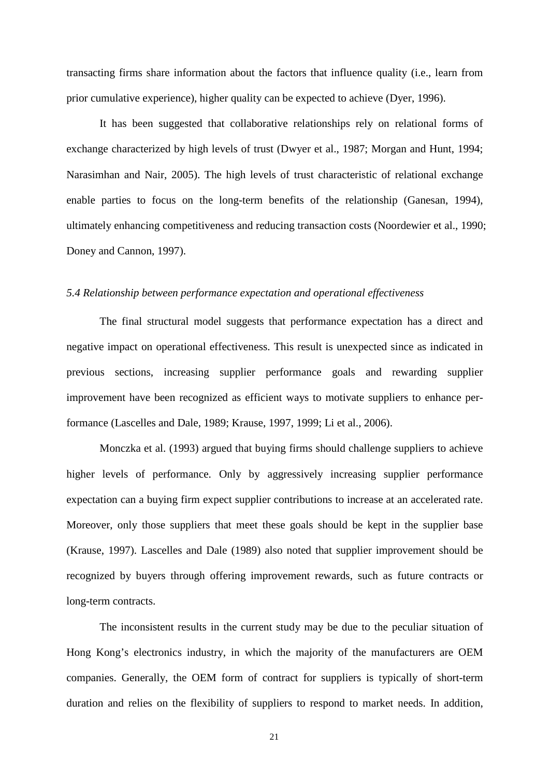transacting firms share information about the factors that influence quality (i.e., learn from prior cumulative experience), higher quality can be expected to achieve (Dyer, 1996).

It has been suggested that collaborative relationships rely on relational forms of exchange characterized by high levels of trust (Dwyer et al., 1987; Morgan and Hunt, 1994; Narasimhan and Nair, 2005). The high levels of trust characteristic of relational exchange enable parties to focus on the long-term benefits of the relationship (Ganesan, 1994), ultimately enhancing competitiveness and reducing transaction costs (Noordewier et al., 1990; Doney and Cannon, 1997).

## *5.4 Relationship between performance expectation and operational effectiveness*

The final structural model suggests that performance expectation has a direct and negative impact on operational effectiveness. This result is unexpected since as indicated in previous sections, increasing supplier performance goals and rewarding supplier improvement have been recognized as efficient ways to motivate suppliers to enhance performance (Lascelles and Dale, 1989; Krause, 1997, 1999; Li et al., 2006).

Monczka et al. (1993) argued that buying firms should challenge suppliers to achieve higher levels of performance. Only by aggressively increasing supplier performance expectation can a buying firm expect supplier contributions to increase at an accelerated rate. Moreover, only those suppliers that meet these goals should be kept in the supplier base (Krause, 1997). Lascelles and Dale (1989) also noted that supplier improvement should be recognized by buyers through offering improvement rewards, such as future contracts or long-term contracts.

The inconsistent results in the current study may be due to the peculiar situation of Hong Kong's electronics industry, in which the majority of the manufacturers are OEM companies. Generally, the OEM form of contract for suppliers is typically of short-term duration and relies on the flexibility of suppliers to respond to market needs. In addition,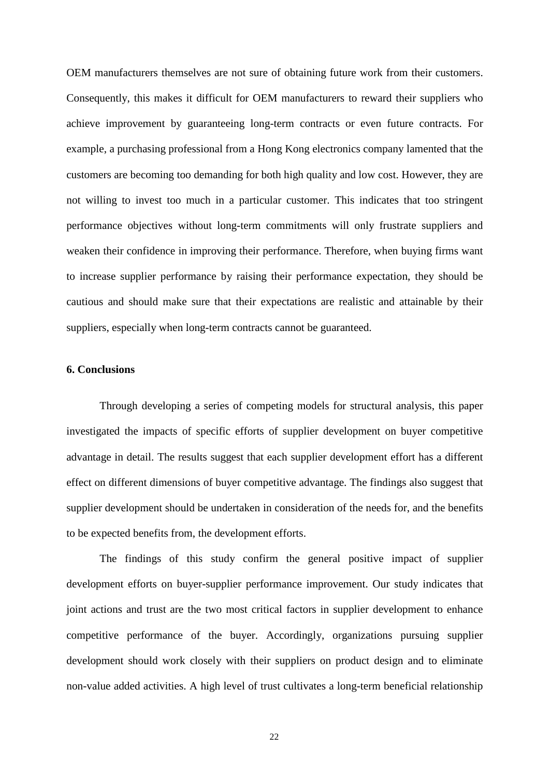OEM manufacturers themselves are not sure of obtaining future work from their customers. Consequently, this makes it difficult for OEM manufacturers to reward their suppliers who achieve improvement by guaranteeing long-term contracts or even future contracts. For example, a purchasing professional from a Hong Kong electronics company lamented that the customers are becoming too demanding for both high quality and low cost. However, they are not willing to invest too much in a particular customer. This indicates that too stringent performance objectives without long-term commitments will only frustrate suppliers and weaken their confidence in improving their performance. Therefore, when buying firms want to increase supplier performance by raising their performance expectation, they should be cautious and should make sure that their expectations are realistic and attainable by their suppliers, especially when long-term contracts cannot be guaranteed.

# **6. Conclusions**

Through developing a series of competing models for structural analysis, this paper investigated the impacts of specific efforts of supplier development on buyer competitive advantage in detail. The results suggest that each supplier development effort has a different effect on different dimensions of buyer competitive advantage. The findings also suggest that supplier development should be undertaken in consideration of the needs for, and the benefits to be expected benefits from, the development efforts.

The findings of this study confirm the general positive impact of supplier development efforts on buyer-supplier performance improvement. Our study indicates that joint actions and trust are the two most critical factors in supplier development to enhance competitive performance of the buyer. Accordingly, organizations pursuing supplier development should work closely with their suppliers on product design and to eliminate non-value added activities. A high level of trust cultivates a long-term beneficial relationship

22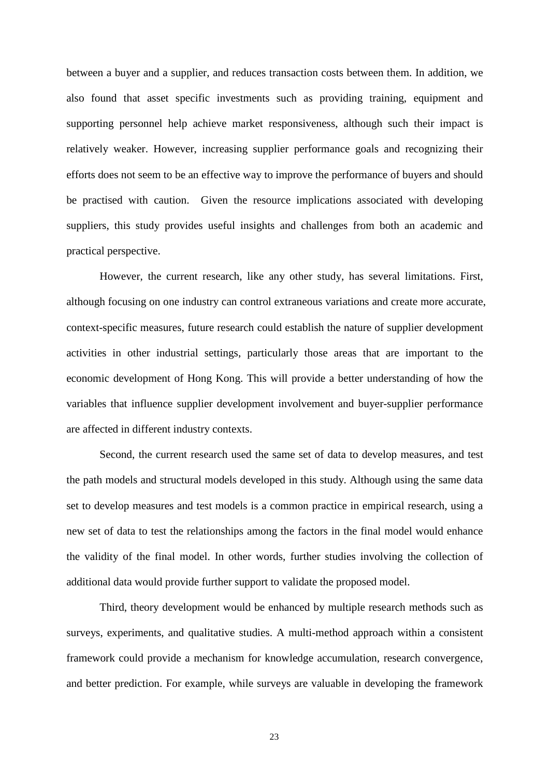between a buyer and a supplier, and reduces transaction costs between them. In addition, we also found that asset specific investments such as providing training, equipment and supporting personnel help achieve market responsiveness, although such their impact is relatively weaker. However, increasing supplier performance goals and recognizing their efforts does not seem to be an effective way to improve the performance of buyers and should be practised with caution. Given the resource implications associated with developing suppliers, this study provides useful insights and challenges from both an academic and practical perspective.

However, the current research, like any other study, has several limitations. First, although focusing on one industry can control extraneous variations and create more accurate, context-specific measures, future research could establish the nature of supplier development activities in other industrial settings, particularly those areas that are important to the economic development of Hong Kong. This will provide a better understanding of how the variables that influence supplier development involvement and buyer-supplier performance are affected in different industry contexts.

Second, the current research used the same set of data to develop measures, and test the path models and structural models developed in this study. Although using the same data set to develop measures and test models is a common practice in empirical research, using a new set of data to test the relationships among the factors in the final model would enhance the validity of the final model. In other words, further studies involving the collection of additional data would provide further support to validate the proposed model.

Third, theory development would be enhanced by multiple research methods such as surveys, experiments, and qualitative studies. A multi-method approach within a consistent framework could provide a mechanism for knowledge accumulation, research convergence, and better prediction. For example, while surveys are valuable in developing the framework

23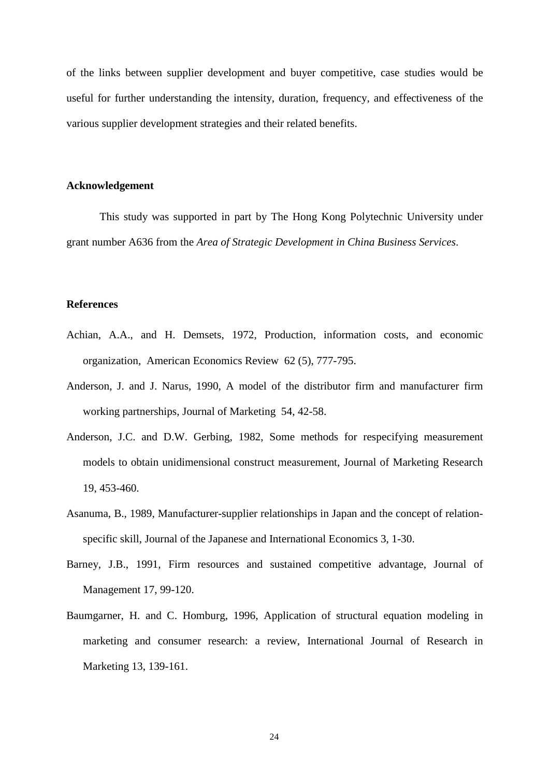of the links between supplier development and buyer competitive, case studies would be useful for further understanding the intensity, duration, frequency, and effectiveness of the various supplier development strategies and their related benefits.

# **Acknowledgement**

This study was supported in part by The Hong Kong Polytechnic University under grant number A636 from the *Area of Strategic Development in China Business Services*.

# **References**

- Achian, A.A., and H. Demsets, 1972, Production, information costs, and economic organization, American Economics Review 62 (5), 777-795.
- Anderson, J. and J. Narus, 1990, A model of the distributor firm and manufacturer firm working partnerships, Journal of Marketing 54, 42-58.
- Anderson, J.C. and D.W. Gerbing, 1982, Some methods for respecifying measurement models to obtain unidimensional construct measurement, Journal of Marketing Research 19, 453-460.
- Asanuma, B., 1989, Manufacturer-supplier relationships in Japan and the concept of relationspecific skill, Journal of the Japanese and International Economics 3, 1-30.
- Barney, J.B., 1991, Firm resources and sustained competitive advantage, Journal of Management 17, 99-120.
- Baumgarner, H. and C. Homburg, 1996, Application of structural equation modeling in marketing and consumer research: a review, International Journal of Research in Marketing 13, 139-161.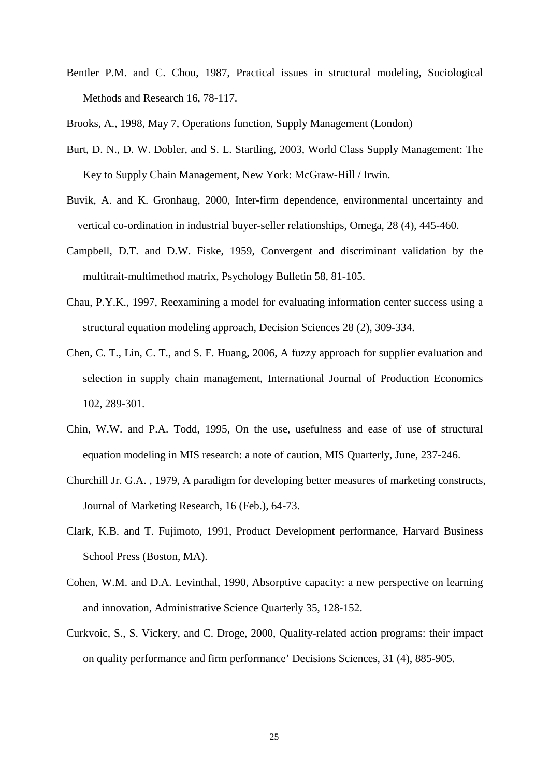Bentler P.M. and C. Chou, 1987, Practical issues in structural modeling, Sociological Methods and Research 16, 78-117.

Brooks, A., 1998, May 7, Operations function, Supply Management (London)

- Burt, D. N., D. W. Dobler, and S. L. Startling, 2003, World Class Supply Management: The Key to Supply Chain Management, New York: McGraw-Hill / Irwin.
- Buvik, A. and K. Gronhaug, 2000, Inter-firm dependence, environmental uncertainty and vertical co-ordination in industrial buyer-seller relationships, Omega, 28 (4), 445-460.
- Campbell, D.T. and D.W. Fiske, 1959, Convergent and discriminant validation by the multitrait-multimethod matrix, Psychology Bulletin 58, 81-105.
- Chau, P.Y.K., 1997, Reexamining a model for evaluating information center success using a structural equation modeling approach, Decision Sciences 28 (2), 309-334.
- Chen, C. T., Lin, C. T., and S. F. Huang, 2006, A fuzzy approach for supplier evaluation and selection in supply chain management, International Journal of Production Economics 102, 289-301.
- Chin, W.W. and P.A. Todd, 1995, On the use, usefulness and ease of use of structural equation modeling in MIS research: a note of caution, MIS Quarterly, June, 237-246.
- Churchill Jr. G.A. , 1979, A paradigm for developing better measures of marketing constructs, Journal of Marketing Research, 16 (Feb.), 64-73.
- Clark, K.B. and T. Fujimoto, 1991, Product Development performance, Harvard Business School Press (Boston, MA).
- Cohen, W.M. and D.A. Levinthal, 1990, Absorptive capacity: a new perspective on learning and innovation, Administrative Science Quarterly 35, 128-152.
- Curkvoic, S., S. Vickery, and C. Droge, 2000, Quality-related action programs: their impact on quality performance and firm performance' Decisions Sciences, 31 (4), 885-905.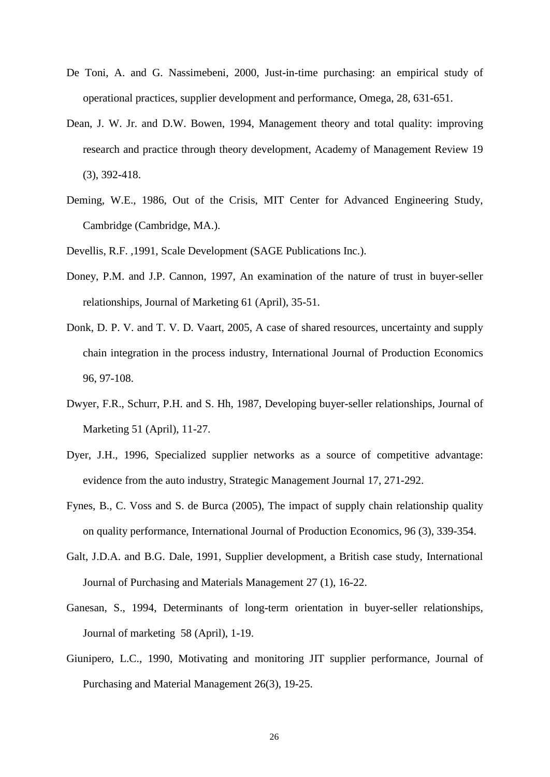- De Toni, A. and G. Nassimebeni, 2000, Just-in-time purchasing: an empirical study of operational practices, supplier development and performance, Omega, 28, 631-651.
- Dean, J. W. Jr. and D.W. Bowen, 1994, Management theory and total quality: improving research and practice through theory development, Academy of Management Review 19 (3), 392-418.
- Deming, W.E., 1986, Out of the Crisis, MIT Center for Advanced Engineering Study, Cambridge (Cambridge, MA.).
- Devellis, R.F. ,1991, Scale Development (SAGE Publications Inc.).
- Doney, P.M. and J.P. Cannon, 1997, An examination of the nature of trust in buyer-seller relationships, Journal of Marketing 61 (April), 35-51.
- Donk, D. P. V. and T. V. D. Vaart, 2005, A case of shared resources, uncertainty and supply chain integration in the process industry, International Journal of Production Economics 96, 97-108.
- Dwyer, F.R., Schurr, P.H. and S. Hh, 1987, Developing buyer-seller relationships, Journal of Marketing 51 (April), 11-27.
- Dyer, J.H., 1996, Specialized supplier networks as a source of competitive advantage: evidence from the auto industry, Strategic Management Journal 17, 271-292.
- Fynes, B., C. Voss and S. de Burca (2005), The impact of supply chain relationship quality on quality performance, International Journal of Production Economics, 96 (3), 339-354.
- Galt, J.D.A. and B.G. Dale, 1991, Supplier development, a British case study, International Journal of Purchasing and Materials Management 27 (1), 16-22.
- Ganesan, S., 1994, Determinants of long-term orientation in buyer-seller relationships, Journal of marketing 58 (April), 1-19.
- Giunipero, L.C., 1990, Motivating and monitoring JIT supplier performance, Journal of Purchasing and Material Management 26(3), 19-25.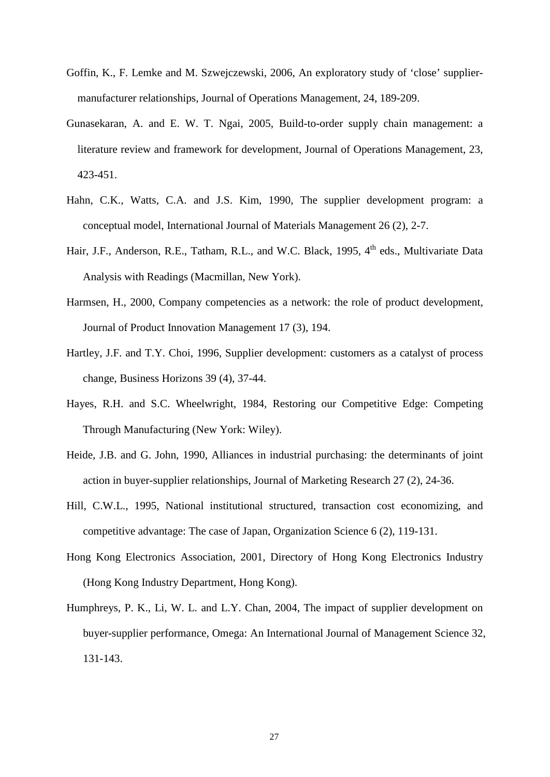- Goffin, K., F. Lemke and M. Szwejczewski, 2006, An exploratory study of 'close' suppliermanufacturer relationships, Journal of Operations Management, 24, 189-209.
- Gunasekaran, A. and E. W. T. Ngai, 2005, Build-to-order supply chain management: a literature review and framework for development, Journal of Operations Management, 23, 423-451.
- Hahn, C.K., Watts, C.A. and J.S. Kim, 1990, The supplier development program: a conceptual model, International Journal of Materials Management 26 (2), 2-7.
- Hair, J.F., Anderson, R.E., Tatham, R.L., and W.C. Black, 1995, 4<sup>th</sup> eds., Multivariate Data Analysis with Readings (Macmillan, New York).
- Harmsen, H., 2000, Company competencies as a network: the role of product development, Journal of Product Innovation Management 17 (3), 194.
- Hartley, J.F. and T.Y. Choi, 1996, Supplier development: customers as a catalyst of process change, Business Horizons 39 (4), 37-44.
- Hayes, R.H. and S.C. Wheelwright, 1984, Restoring our Competitive Edge: Competing Through Manufacturing (New York: Wiley).
- Heide, J.B. and G. John, 1990, Alliances in industrial purchasing: the determinants of joint action in buyer-supplier relationships, Journal of Marketing Research 27 (2), 24-36.
- Hill, C.W.L., 1995, National institutional structured, transaction cost economizing, and competitive advantage: The case of Japan, Organization Science 6 (2), 119-131.
- Hong Kong Electronics Association, 2001, Directory of Hong Kong Electronics Industry (Hong Kong Industry Department, Hong Kong).
- Humphreys, P. K., Li, W. L. and L.Y. Chan, 2004, The impact of supplier development on buyer-supplier performance, Omega: An International Journal of Management Science 32, 131-143.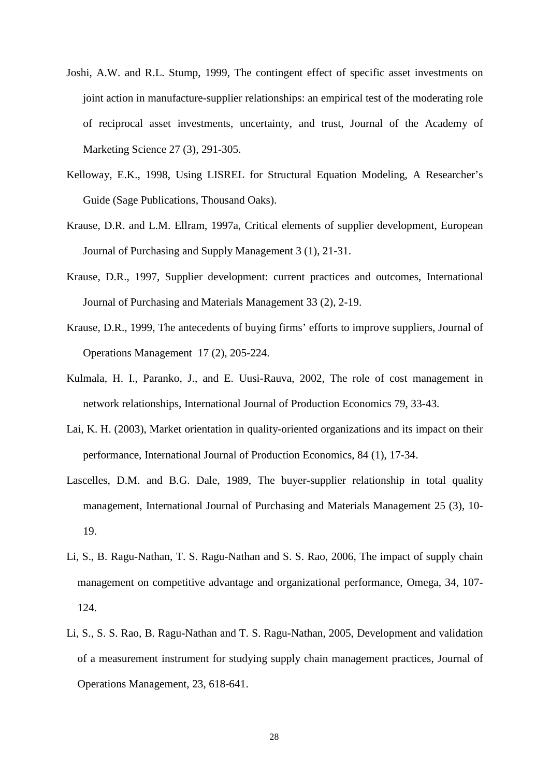- Joshi, A.W. and R.L. Stump, 1999, The contingent effect of specific asset investments on joint action in manufacture-supplier relationships: an empirical test of the moderating role of reciprocal asset investments, uncertainty, and trust, Journal of the Academy of Marketing Science 27 (3), 291-305.
- Kelloway, E.K., 1998, Using LISREL for Structural Equation Modeling, A Researcher's Guide (Sage Publications, Thousand Oaks).
- Krause, D.R. and L.M. Ellram, 1997a, Critical elements of supplier development, European Journal of Purchasing and Supply Management 3 (1), 21-31.
- Krause, D.R., 1997, Supplier development: current practices and outcomes, International Journal of Purchasing and Materials Management 33 (2), 2-19.
- Krause, D.R., 1999, The antecedents of buying firms' efforts to improve suppliers, Journal of Operations Management 17 (2), 205-224.
- Kulmala, H. I., Paranko, J., and E. Uusi-Rauva, 2002, The role of cost management in network relationships, International Journal of Production Economics 79, 33-43.
- Lai, K. H. (2003), Market orientation in quality-oriented organizations and its impact on their performance, International Journal of Production Economics, 84 (1), 17-34.
- Lascelles, D.M. and B.G. Dale, 1989, The buyer-supplier relationship in total quality management, International Journal of Purchasing and Materials Management 25 (3), 10- 19.
- Li, S., B. Ragu-Nathan, T. S. Ragu-Nathan and S. S. Rao, 2006, The impact of supply chain management on competitive advantage and organizational performance, Omega, 34, 107- 124.
- Li, S., S. S. Rao, B. Ragu-Nathan and T. S. Ragu-Nathan, 2005, Development and validation of a measurement instrument for studying supply chain management practices, Journal of Operations Management, 23, 618-641.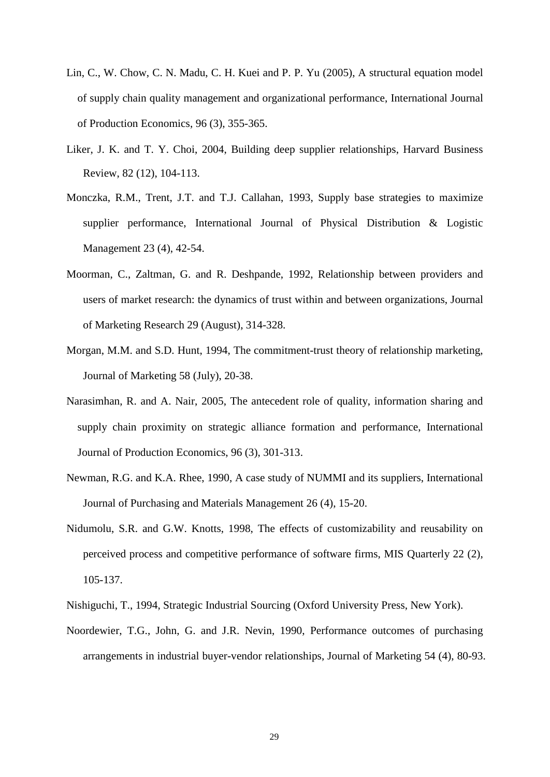- Lin, C., W. Chow, C. N. Madu, C. H. Kuei and P. P. Yu (2005), A structural equation model of supply chain quality management and organizational performance, International Journal of Production Economics, 96 (3), 355-365.
- Liker, J. K. and T. Y. Choi, 2004, Building deep supplier relationships, Harvard Business Review, 82 (12), 104-113.
- Monczka, R.M., Trent, J.T. and T.J. Callahan, 1993, Supply base strategies to maximize supplier performance, International Journal of Physical Distribution & Logistic Management 23 (4), 42-54.
- Moorman, C., Zaltman, G. and R. Deshpande, 1992, Relationship between providers and users of market research: the dynamics of trust within and between organizations, Journal of Marketing Research 29 (August), 314-328.
- Morgan, M.M. and S.D. Hunt, 1994, The commitment-trust theory of relationship marketing, Journal of Marketing 58 (July), 20-38.
- Narasimhan, R. and A. Nair, 2005, The antecedent role of quality, information sharing and supply chain proximity on strategic alliance formation and performance, International Journal of Production Economics, 96 (3), 301-313.
- Newman, R.G. and K.A. Rhee, 1990, A case study of NUMMI and its suppliers, International Journal of Purchasing and Materials Management 26 (4), 15-20.
- Nidumolu, S.R. and G.W. Knotts, 1998, The effects of customizability and reusability on perceived process and competitive performance of software firms, MIS Quarterly 22 (2), 105-137.
- Nishiguchi, T., 1994, Strategic Industrial Sourcing (Oxford University Press, New York).
- Noordewier, T.G., John, G. and J.R. Nevin, 1990, Performance outcomes of purchasing arrangements in industrial buyer-vendor relationships, Journal of Marketing 54 (4), 80-93.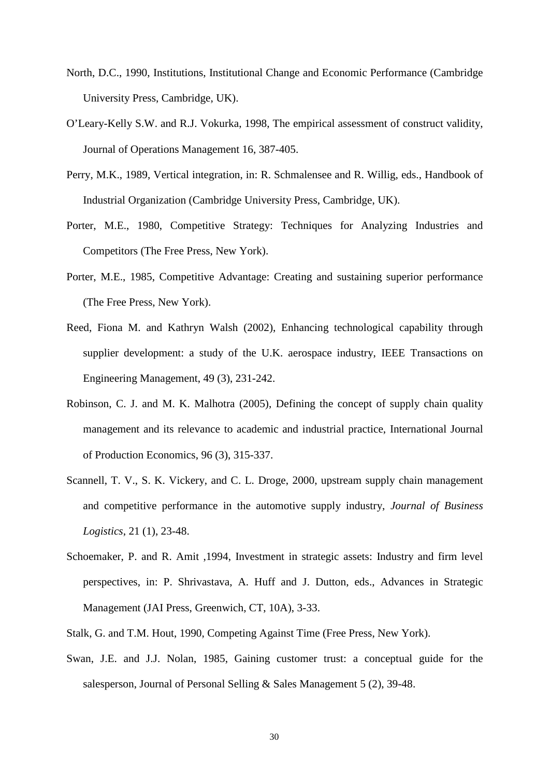- North, D.C., 1990, Institutions, Institutional Change and Economic Performance (Cambridge University Press, Cambridge, UK).
- O'Leary-Kelly S.W. and R.J. Vokurka, 1998, The empirical assessment of construct validity, Journal of Operations Management 16, 387-405.
- Perry, M.K., 1989, Vertical integration, in: R. Schmalensee and R. Willig, eds., Handbook of Industrial Organization (Cambridge University Press, Cambridge, UK).
- Porter, M.E., 1980, Competitive Strategy: Techniques for Analyzing Industries and Competitors (The Free Press, New York).
- Porter, M.E., 1985, Competitive Advantage: Creating and sustaining superior performance (The Free Press, New York).
- Reed, Fiona M. and Kathryn Walsh (2002), Enhancing technological capability through supplier development: a study of the U.K. aerospace industry, IEEE Transactions on Engineering Management, 49 (3), 231-242.
- Robinson, C. J. and M. K. Malhotra (2005), Defining the concept of supply chain quality management and its relevance to academic and industrial practice, International Journal of Production Economics, 96 (3), 315-337.
- Scannell, T. V., S. K. Vickery, and C. L. Droge, 2000, upstream supply chain management and competitive performance in the automotive supply industry, *Journal of Business Logistics*, 21 (1), 23-48.
- Schoemaker, P. and R. Amit ,1994, Investment in strategic assets: Industry and firm level perspectives, in: P. Shrivastava, A. Huff and J. Dutton, eds., Advances in Strategic Management (JAI Press, Greenwich, CT, 10A), 3-33.
- Stalk, G. and T.M. Hout, 1990, Competing Against Time (Free Press, New York).
- Swan, J.E. and J.J. Nolan, 1985, Gaining customer trust: a conceptual guide for the salesperson, Journal of Personal Selling & Sales Management 5 (2), 39-48.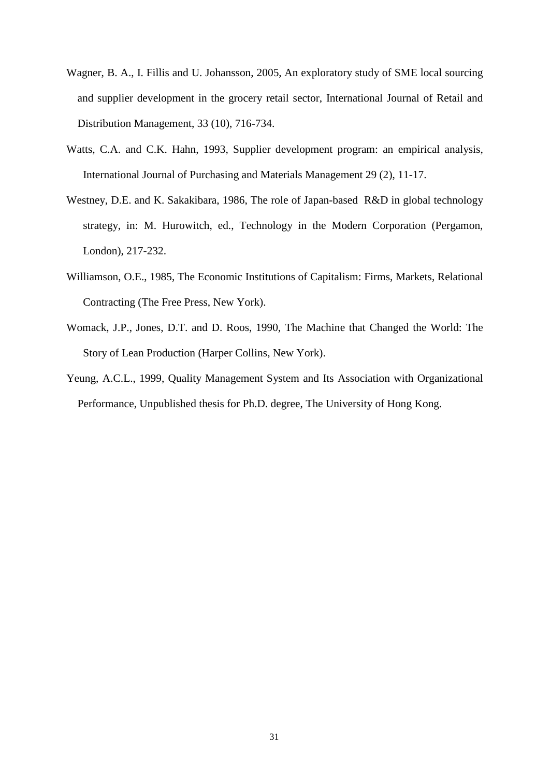- Wagner, B. A., I. Fillis and U. Johansson, 2005, An exploratory study of SME local sourcing and supplier development in the grocery retail sector, International Journal of Retail and Distribution Management, 33 (10), 716-734.
- Watts, C.A. and C.K. Hahn, 1993, Supplier development program: an empirical analysis, International Journal of Purchasing and Materials Management 29 (2), 11-17.
- Westney, D.E. and K. Sakakibara, 1986, The role of Japan-based R&D in global technology strategy, in: M. Hurowitch, ed., Technology in the Modern Corporation (Pergamon, London), 217-232.
- Williamson, O.E., 1985, The Economic Institutions of Capitalism: Firms, Markets, Relational Contracting (The Free Press, New York).
- Womack, J.P., Jones, D.T. and D. Roos, 1990, The Machine that Changed the World: The Story of Lean Production (Harper Collins, New York).
- Yeung, A.C.L., 1999, Quality Management System and Its Association with Organizational Performance, Unpublished thesis for Ph.D. degree, The University of Hong Kong.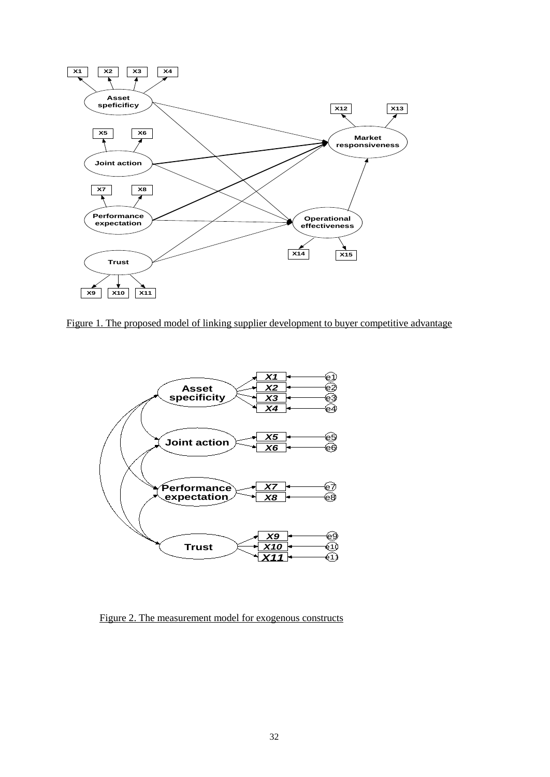

Figure 1. The proposed model of linking supplier development to buyer competitive advantage



Figure 2. The measurement model for exogenous constructs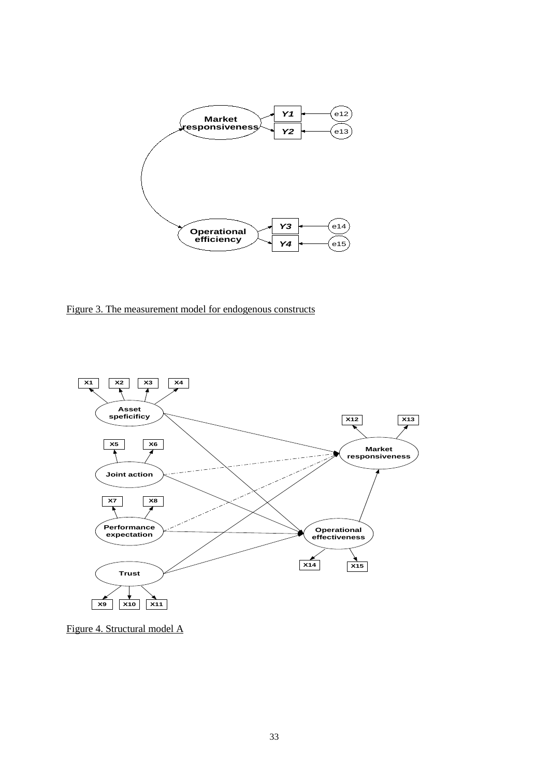

Figure 3. The measurement model for endogenous constructs



Figure 4. Structural model A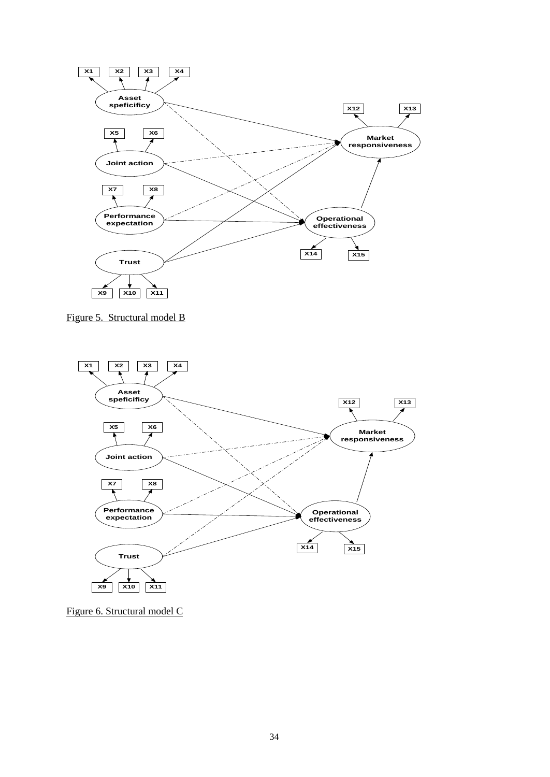

Figure 5. Structural model B



Figure 6. Structural model C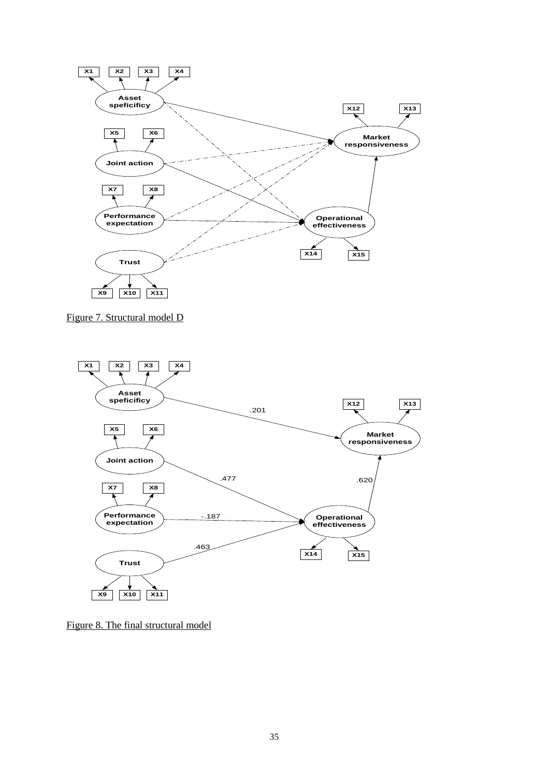

Figure 7. Structural model D



Figure 8. The final structural model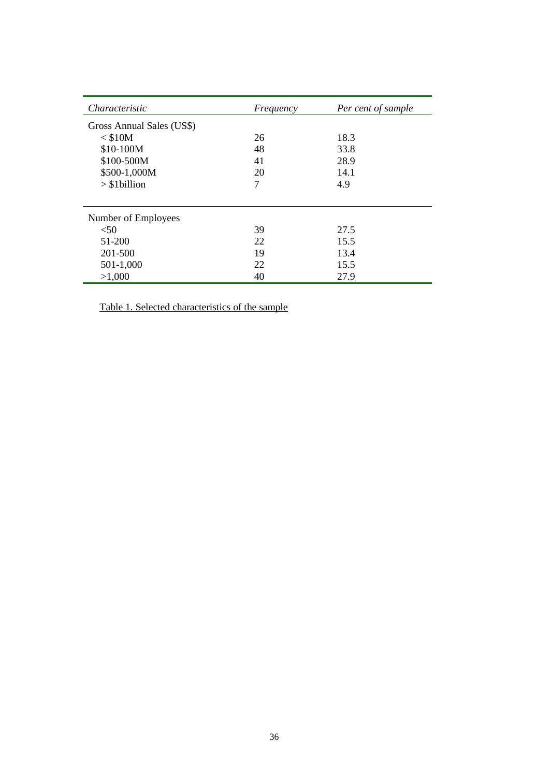| Characteristic            | Frequency | Per cent of sample |
|---------------------------|-----------|--------------------|
| Gross Annual Sales (US\$) |           |                    |
| $<$ \$10M                 | 26        | 18.3               |
| \$10-100M                 | 48        | 33.8               |
| \$100-500M                | 41        | 28.9               |
| \$500-1,000M              | 20        | 14.1               |
| $>$ \$1billion            | 7         | 4.9                |
|                           |           |                    |
| Number of Employees       |           |                    |
| < 50                      | 39        | 27.5               |
| 51-200                    | 22        | 15.5               |
| 201-500                   | 19        | 13.4               |
| 501-1,000                 | 22        | 15.5               |
| >1,000                    | 40        | 27.9               |

Table 1. Selected characteristics of the sample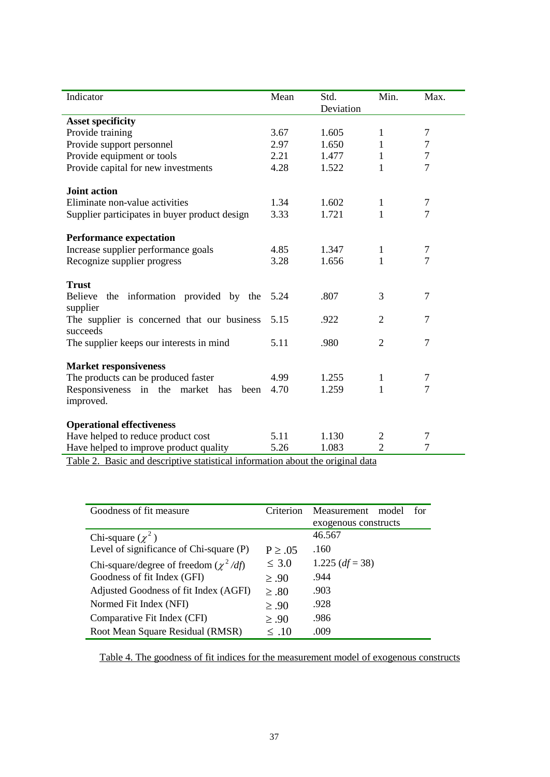| Indicator                                     | Mean | Std.      | Min.           | Max.             |
|-----------------------------------------------|------|-----------|----------------|------------------|
|                                               |      | Deviation |                |                  |
| <b>Asset specificity</b>                      |      |           |                |                  |
| Provide training                              | 3.67 | 1.605     | 1              | 7                |
| Provide support personnel                     | 2.97 | 1.650     | 1              | $\boldsymbol{7}$ |
| Provide equipment or tools                    | 2.21 | 1.477     | 1              | $\overline{7}$   |
| Provide capital for new investments           | 4.28 | 1.522     | 1              | $\overline{7}$   |
| <b>Joint action</b>                           |      |           |                |                  |
| Eliminate non-value activities                | 1.34 | 1.602     | 1              | $\tau$           |
| Supplier participates in buyer product design | 3.33 | 1.721     | 1              | 7                |
| <b>Performance expectation</b>                |      |           |                |                  |
| Increase supplier performance goals           | 4.85 | 1.347     | 1              | 7                |
| Recognize supplier progress                   | 3.28 | 1.656     | 1              | 7                |
|                                               |      |           |                |                  |
| <b>Trust</b>                                  |      |           |                |                  |
| Believe the information provided by the       | 5.24 | .807      | 3              | 7                |
| supplier                                      |      |           |                |                  |
| The supplier is concerned that our business   | 5.15 | .922      | $\overline{2}$ | 7                |
| succeeds                                      |      |           |                |                  |
| The supplier keeps our interests in mind      | 5.11 | .980      | $\overline{2}$ | 7                |
|                                               |      |           |                |                  |
| <b>Market responsiveness</b>                  |      |           |                |                  |
| The products can be produced faster           | 4.99 | 1.255     | 1              | 7                |
| Responsiveness in the market has<br>been      | 4.70 | 1.259     | 1              | $\overline{7}$   |
| improved.                                     |      |           |                |                  |
|                                               |      |           |                |                  |
| <b>Operational effectiveness</b>              |      |           |                |                  |
| Have helped to reduce product cost            | 5.11 | 1.130     | $\overline{c}$ | 7                |
| Have helped to improve product quality        | 5.26 | 1.083     | $\overline{2}$ | 7                |

Table 2. Basic and descriptive statistical information about the original data

| Goodness of fit measure                    | Criterion    | Measurement<br>model<br>for |
|--------------------------------------------|--------------|-----------------------------|
|                                            |              | exogenous constructs        |
| Chi-square $(\chi^2)$                      |              | 46.567                      |
| Level of significance of Chi-square (P)    | $P \geq .05$ | .160                        |
| Chi-square/degree of freedom $(\chi^2/df)$ | $\leq 3.0$   | 1.225 $(df = 38)$           |
| Goodness of fit Index (GFI)                | $\geq .90$   | .944                        |
| Adjusted Goodness of fit Index (AGFI)      | $\geq .80$   | .903                        |
| Normed Fit Index (NFI)                     | $\geq .90$   | .928                        |
| Comparative Fit Index (CFI)                | $\geq .90$   | .986                        |
| Root Mean Square Residual (RMSR)           | $\leq .10$   | .009                        |

Table 4. The goodness of fit indices for the measurement model of exogenous constructs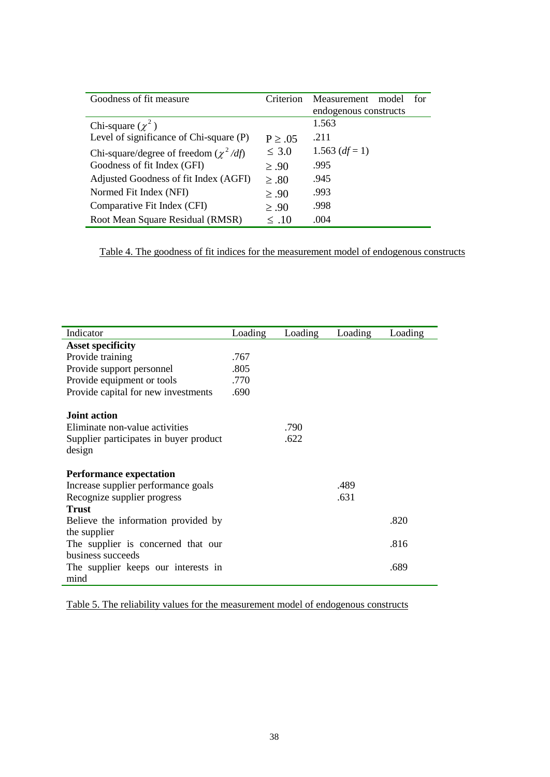| Goodness of fit measure                    | Criterion    | Measurement<br>model<br>for<br>endogenous constructs |
|--------------------------------------------|--------------|------------------------------------------------------|
| Chi-square $(\chi^2)$                      |              | 1.563                                                |
| Level of significance of Chi-square (P)    | $P \geq .05$ | .211                                                 |
| Chi-square/degree of freedom $(\chi^2/df)$ | $\leq 3.0$   | 1.563 $(df=1)$                                       |
| Goodness of fit Index (GFI)                | > 0.90       | .995                                                 |
| Adjusted Goodness of fit Index (AGFI)      | $\geq .80$   | .945                                                 |
| Normed Fit Index (NFI)                     | $\geq .90$   | .993                                                 |
| Comparative Fit Index (CFI)                | > 0.90       | .998                                                 |
| Root Mean Square Residual (RMSR)           | $\leq .10$   | .004                                                 |

Table 4. The goodness of fit indices for the measurement model of endogenous constructs

| Indicator                              |         |         |         |         |
|----------------------------------------|---------|---------|---------|---------|
|                                        | Loading | Loading | Loading | Loading |
| <b>Asset specificity</b>               |         |         |         |         |
| Provide training                       | .767    |         |         |         |
| Provide support personnel              | .805    |         |         |         |
| Provide equipment or tools             | .770    |         |         |         |
| Provide capital for new investments    | .690    |         |         |         |
| Joint action                           |         |         |         |         |
| Eliminate non-value activities         |         | .790    |         |         |
| Supplier participates in buyer product |         | .622    |         |         |
| design                                 |         |         |         |         |
| <b>Performance expectation</b>         |         |         |         |         |
| Increase supplier performance goals    |         |         | .489    |         |
| Recognize supplier progress            |         |         | .631    |         |
| <b>Trust</b>                           |         |         |         |         |
| Believe the information provided by    |         |         |         | .820    |
| the supplier                           |         |         |         |         |
| The supplier is concerned that our     |         |         |         | .816    |
| business succeeds                      |         |         |         |         |
| The supplier keeps our interests in    |         |         |         | .689    |
| mind                                   |         |         |         |         |

Table 5. The reliability values for the measurement model of endogenous constructs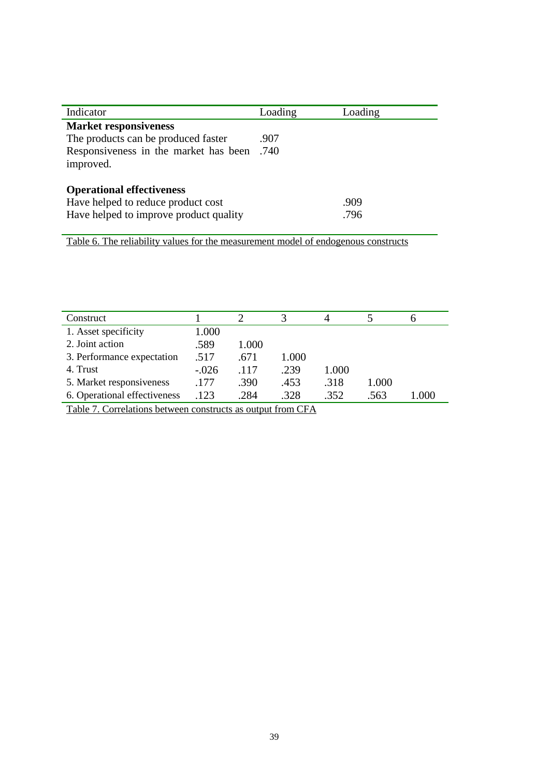| Indicator                              | Loading | Loading |
|----------------------------------------|---------|---------|
| <b>Market responsiveness</b>           |         |         |
| The products can be produced faster    | .907    |         |
| Responsiveness in the market has been  | .740    |         |
| improved.                              |         |         |
|                                        |         |         |
| <b>Operational effectiveness</b>       |         |         |
| Have helped to reduce product cost     |         | .909    |
| Have helped to improve product quality |         | .796    |
|                                        |         |         |

Table 6. The reliability values for the measurement model of endogenous constructs

| Construct                                                   |         |       | 3     |       |       | n     |
|-------------------------------------------------------------|---------|-------|-------|-------|-------|-------|
| 1. Asset specificity                                        | 1.000   |       |       |       |       |       |
| 2. Joint action                                             | .589    | 1.000 |       |       |       |       |
| 3. Performance expectation                                  | .517    | .671  | 1.000 |       |       |       |
| 4. Trust                                                    | $-.026$ | .117  | .239  | 1.000 |       |       |
| 5. Market responsiveness                                    | .177    | .390  | .453  | .318  | 1.000 |       |
| 6. Operational effectiveness                                | .123    | .284  | .328  | .352  | .563  | 1.000 |
| Table 7. Correlations between constructs as output from CFA |         |       |       |       |       |       |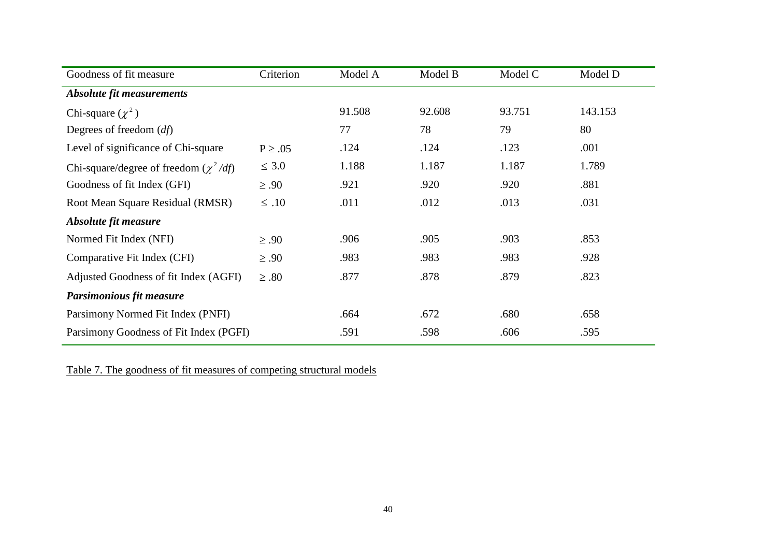| Goodness of fit measure                    | Criterion   | Model A | Model B | Model C | Model D |
|--------------------------------------------|-------------|---------|---------|---------|---------|
| <b>Absolute fit measurements</b>           |             |         |         |         |         |
| Chi-square $(\chi^2)$                      |             | 91.508  | 92.608  | 93.751  | 143.153 |
| Degrees of freedom $(df)$                  |             | 77      | 78      | 79      | 80      |
| Level of significance of Chi-square        | $P \ge .05$ | .124    | .124    | .123    | .001    |
| Chi-square/degree of freedom $(\chi^2/df)$ | $\leq 3.0$  | 1.188   | 1.187   | 1.187   | 1.789   |
| Goodness of fit Index (GFI)                | $\geq .90$  | .921    | .920    | .920    | .881    |
| Root Mean Square Residual (RMSR)           | $\leq .10$  | .011    | .012    | .013    | .031    |
| Absolute fit measure                       |             |         |         |         |         |
| Normed Fit Index (NFI)                     | $\geq .90$  | .906    | .905    | .903    | .853    |
| Comparative Fit Index (CFI)                | $\geq .90$  | .983    | .983    | .983    | .928    |
| Adjusted Goodness of fit Index (AGFI)      | $\geq .80$  | .877    | .878    | .879    | .823    |
| Parsimonious fit measure                   |             |         |         |         |         |
| Parsimony Normed Fit Index (PNFI)          |             | .664    | .672    | .680    | .658    |
| Parsimony Goodness of Fit Index (PGFI)     |             | .591    | .598    | .606    | .595    |

Table 7. The goodness of fit measures of competing structural models